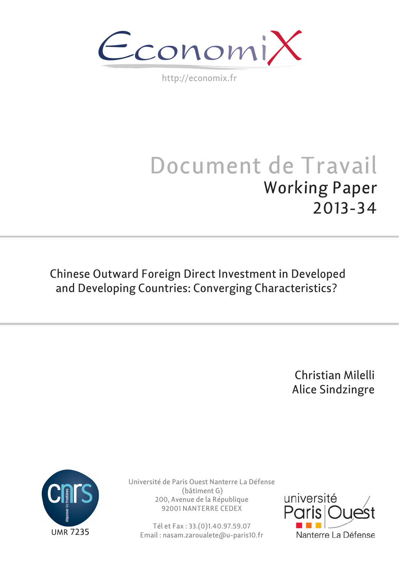$\epsilon$ conomi)

http://economix.fr

# Document de Travail Working Paper 2013-34

Chinese Outward Foreign Direct Investment in Developed and Developing Countries: Converging Characteristics?

> Christian Milelli Alice Sindzingre



Université de Paris Ouest Nanterre La Défense (bâtiment G) 200, Avenue de la République 92001 NANTERRE CEDEX

Tél et Fax : 33.(0)1.40.97.59.07 Email : nasam.zaroualete@u-paris10.fr

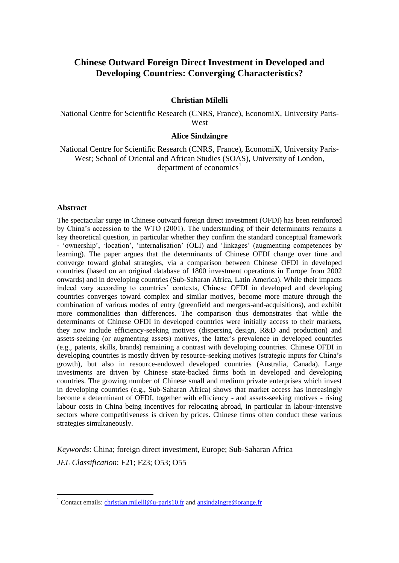# **Chinese Outward Foreign Direct Investment in Developed and Developing Countries: Converging Characteristics?**

## **Christian Milelli**

National Centre for Scientific Research (CNRS, France), EconomiX, University Paris-West

#### **Alice Sindzingre**

National Centre for Scientific Research (CNRS, France), EconomiX, University Paris-West; School of Oriental and African Studies (SOAS), University of London, department of economics<sup>1</sup>

#### **Abstract**

1

The spectacular surge in Chinese outward foreign direct investment (OFDI) has been reinforced by China's accession to the WTO (2001). The understanding of their determinants remains a key theoretical question, in particular whether they confirm the standard conceptual framework - 'ownership', 'location', 'internalisation' (OLI) and 'linkages' (augmenting competences by learning). The paper argues that the determinants of Chinese OFDI change over time and converge toward global strategies, via a comparison between Chinese OFDI in developed countries (based on an original database of 1800 investment operations in Europe from 2002 onwards) and in developing countries (Sub-Saharan Africa, Latin America). While their impacts indeed vary according to countries' contexts, Chinese OFDI in developed and developing countries converges toward complex and similar motives, become more mature through the combination of various modes of entry (greenfield and mergers-and-acquisitions), and exhibit more commonalities than differences. The comparison thus demonstrates that while the determinants of Chinese OFDI in developed countries were initially access to their markets, they now include efficiency-seeking motives (dispersing design, R&D and production) and assets-seeking (or augmenting assets) motives, the latter's prevalence in developed countries (e.g., patents, skills, brands) remaining a contrast with developing countries. Chinese OFDI in developing countries is mostly driven by resource-seeking motives (strategic inputs for China's growth), but also in resource-endowed developed countries (Australia, Canada). Large investments are driven by Chinese state-backed firms both in developed and developing countries. The growing number of Chinese small and medium private enterprises which invest in developing countries (e.g., Sub-Saharan Africa) shows that market access has increasingly become a determinant of OFDI, together with efficiency - and assets-seeking motives - rising labour costs in China being incentives for relocating abroad, in particular in labour-intensive sectors where competitiveness is driven by prices. Chinese firms often conduct these various strategies simultaneously.

*Keywords*: China; foreign direct investment, Europe; Sub-Saharan Africa *JEL Classification*: F21; F23; O53; O55

<sup>&</sup>lt;sup>1</sup> Contact emails: [christian.milelli@u-paris10.fr](mailto:christian.milelli@u-paris10.fr) and [ansindzingre@orange.fr](mailto:ansindzingre@orange.fr)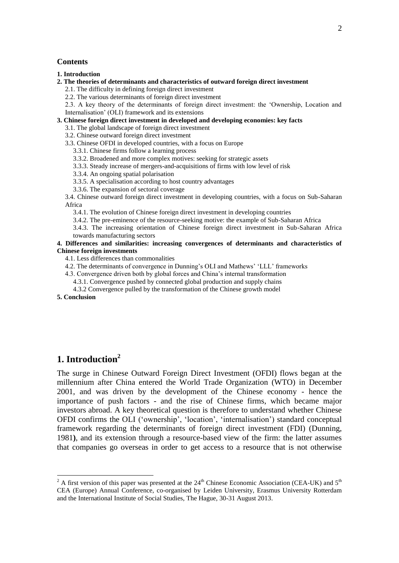#### **Contents**

**[1. Introduction](#page-2-0)**

- **[2. The theories of determinants and characteristics of outward foreign direct investment](#page-4-0)**
	- [2.1. The difficulty in defining foreign direct investment](#page-4-1)
	- [2.2. The various determinants of foreign direct investment](#page-5-0)

[2.3. A key theory of the determinants of foreign direct investment: the 'Ownership, Location and](#page-7-0)  [Internalisation' \(OLI\) framework and its extensions](#page-7-0)

#### **[3. Chinese foreign direct investment in developed and developing economies: key facts](#page-10-0)**

- [3.1. The global landscape of foreign direct investment](#page-10-1)
- [3.2. Chinese outward foreign direct investment](#page-11-0)

[3.3. Chinese OFDI in developed countries, with a focus on Europe](#page-13-0)

[3.3.1. Chinese firms follow a learning process](#page-14-0)

[3.3.2. Broadened and more complex motives: seeking for strategic assets](#page-15-0)

- [3.3.3. Steady increase of mergers-and-acquisitions of firms with low level of risk](#page-16-0)
- [3.3.4. An ongoing spatial polarisation](#page-17-0)
- [3.3.5. A specialisation according to host country advantages](#page-18-0)
- [3.3.6. The expansion of sectoral coverage](#page-18-1)

[3.4. Chinese outward foreign direct investment in developing countries, with a focus on Sub-Saharan](#page-20-0)  [Africa](#page-20-0)

- [3.4.1. The evolution of Chinese foreign direct investment in developing countries](#page-20-1)
- [3.4.2. The pre-eminence of the resource-seeking motive: the example of Sub-Saharan Africa](#page-21-0)

[3.4.3. The increasing orientation of Chinese foreign direct investment in Sub-Saharan Africa](#page-24-0)  [towards manufacturing sectors](#page-24-0)

#### **[4. Differences and similarities: increasing convergences of determinants and characteristics of](#page-26-0)  [Chinese foreign investments](#page-26-0)**

[4.1. Less differences than commonalities](#page-26-1)

- [4.2. The determinants of convergence in Dunning's OLI and Mathews' 'LLL' frameworks](#page-27-0)
- [4.3. Convergence driven both by global forces and China's internal transformation](#page-28-0)
	- [4.3.1. Convergence pushed by connected global production and supply chains](#page-28-1)
	- [4.3.2 Convergence pulled by the transformation of the Chinese growth model](#page-29-0)

**[5. Conclusion](#page-30-0)**

1

# <span id="page-2-0"></span>**1. Introduction<sup>2</sup>**

The surge in Chinese Outward Foreign Direct Investment (OFDI) flows began at the millennium after China entered the World Trade Organization (WTO) in December 2001, and was driven by the development of the Chinese economy - hence the importance of push factors - and the rise of Chinese firms, which became major investors abroad. A key theoretical question is therefore to understand whether Chinese OFDI confirms the OLI ('ownership', 'location', 'internalisation') standard conceptual framework regarding the determinants of foreign direct investment (FDI) (Dunning, 1981**)**, and its extension through a resource-based view of the firm: the latter assumes that companies go overseas in order to get access to a resource that is not otherwise

<sup>&</sup>lt;sup>2</sup> A first version of this paper was presented at the  $24<sup>th</sup>$  Chinese Economic Association (CEA-UK) and  $5<sup>th</sup>$ CEA (Europe) Annual Conference, co-organised by Leiden University, Erasmus University Rotterdam and the International Institute of Social Studies, The Hague, 30-31 August 2013.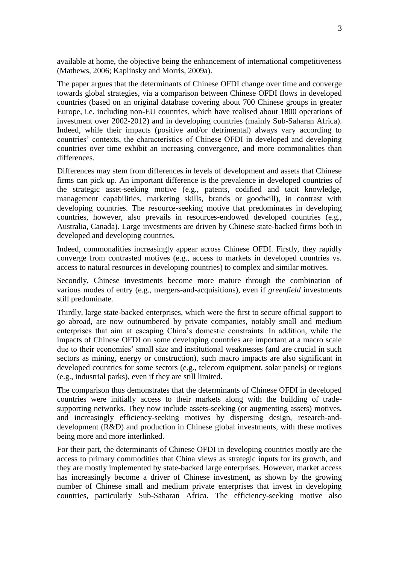available at home, the objective being the enhancement of international competitiveness (Mathews, 2006; Kaplinsky and Morris, 2009a).

The paper argues that the determinants of Chinese OFDI change over time and converge towards global strategies, via a comparison between Chinese OFDI flows in developed countries (based on an original database covering about 700 Chinese groups in greater Europe, i.e. including non-EU countries, which have realised about 1800 operations of investment over 2002-2012) and in developing countries (mainly Sub-Saharan Africa). Indeed, while their impacts (positive and/or detrimental) always vary according to countries' contexts, the characteristics of Chinese OFDI in developed and developing countries over time exhibit an increasing convergence, and more commonalities than differences.

Differences may stem from differences in levels of development and assets that Chinese firms can pick up. An important difference is the prevalence in developed countries of the strategic asset-seeking motive (e.g., patents, codified and tacit knowledge, management capabilities, marketing skills, brands or goodwill), in contrast with developing countries. The resource-seeking motive that predominates in developing countries, however, also prevails in resources-endowed developed countries (e.g., Australia, Canada). Large investments are driven by Chinese state-backed firms both in developed and developing countries.

Indeed, commonalities increasingly appear across Chinese OFDI. Firstly, they rapidly converge from contrasted motives (e.g., access to markets in developed countries vs. access to natural resources in developing countries) to complex and similar motives.

Secondly, Chinese investments become more mature through the combination of various modes of entry (e.g., mergers-and-acquisitions), even if *greenfield* investments still predominate.

Thirdly, large state-backed enterprises, which were the first to secure official support to go abroad, are now outnumbered by private companies, notably small and medium enterprises that aim at escaping China's domestic constraints. In addition, while the impacts of Chinese OFDI on some developing countries are important at a macro scale due to their economies' small size and institutional weaknesses (and are crucial in such sectors as mining, energy or construction), such macro impacts are also significant in developed countries for some sectors (e.g., telecom equipment, solar panels) or regions (e.g., industrial parks), even if they are still limited.

The comparison thus demonstrates that the determinants of Chinese OFDI in developed countries were initially access to their markets along with the building of tradesupporting networks. They now include assets-seeking (or augmenting assets) motives, and increasingly efficiency-seeking motives by dispersing design, research-anddevelopment (R&D) and production in Chinese global investments, with these motives being more and more interlinked.

For their part, the determinants of Chinese OFDI in developing countries mostly are the access to primary commodities that China views as strategic inputs for its growth, and they are mostly implemented by state-backed large enterprises. However, market access has increasingly become a driver of Chinese investment, as shown by the growing number of Chinese small and medium private enterprises that invest in developing countries, particularly Sub-Saharan Africa. The efficiency-seeking motive also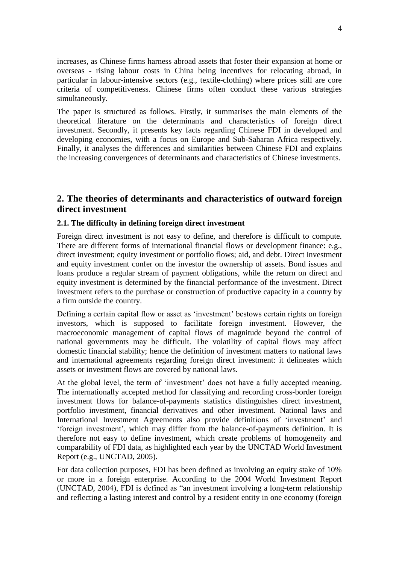increases, as Chinese firms harness abroad assets that foster their expansion at home or overseas - rising labour costs in China being incentives for relocating abroad, in particular in labour-intensive sectors (e.g., textile-clothing) where prices still are core criteria of competitiveness. Chinese firms often conduct these various strategies simultaneously.

The paper is structured as follows. Firstly, it summarises the main elements of the theoretical literature on the determinants and characteristics of foreign direct investment. Secondly, it presents key facts regarding Chinese FDI in developed and developing economies, with a focus on Europe and Sub-Saharan Africa respectively. Finally, it analyses the differences and similarities between Chinese FDI and explains the increasing convergences of determinants and characteristics of Chinese investments.

# <span id="page-4-0"></span>**2. The theories of determinants and characteristics of outward foreign direct investment**

# <span id="page-4-1"></span>**2.1. The difficulty in defining foreign direct investment**

Foreign direct investment is not easy to define, and therefore is difficult to compute. There are different forms of international financial flows or development finance: e.g., direct investment; equity investment or portfolio flows; aid, and debt. Direct investment and equity investment confer on the investor the ownership of assets. Bond issues and loans produce a regular stream of payment obligations, while the return on direct and equity investment is determined by the financial performance of the investment. Direct investment refers to the purchase or construction of productive capacity in a country by a firm outside the country.

Defining a certain capital flow or asset as 'investment' bestows certain rights on foreign investors, which is supposed to facilitate foreign investment. However, the macroeconomic management of capital flows of magnitude beyond the control of national governments may be difficult. The volatility of capital flows may affect domestic financial stability; hence the definition of investment matters to national laws and international agreements regarding foreign direct investment: it delineates which assets or investment flows are covered by national laws.

At the global level, the term of 'investment' does not have a fully accepted meaning. The internationally accepted method for classifying and recording cross-border foreign investment flows for balance-of-payments statistics distinguishes direct investment, portfolio investment, financial derivatives and other investment. National laws and International Investment Agreements also provide definitions of 'investment' and 'foreign investment', which may differ from the balance-of-payments definition. It is therefore not easy to define investment, which create problems of homogeneity and comparability of FDI data, as highlighted each year by the UNCTAD World Investment Report (e.g., UNCTAD, 2005).

For data collection purposes, FDI has been defined as involving an equity stake of 10% or more in a foreign enterprise. According to the 2004 World Investment Report (UNCTAD, 2004), FDI is defined as "an investment involving a long-term relationship and reflecting a lasting interest and control by a resident entity in one economy (foreign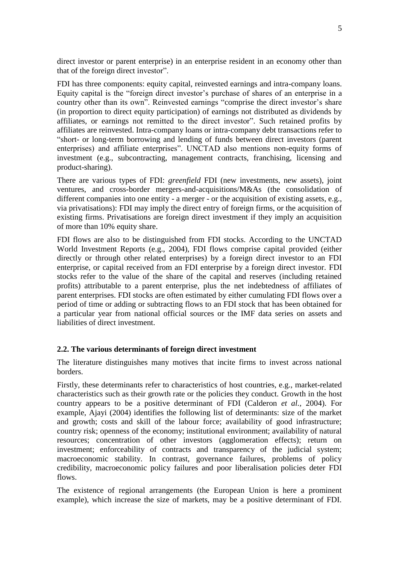direct investor or parent enterprise) in an enterprise resident in an economy other than that of the foreign direct investor".

FDI has three components: equity capital, reinvested earnings and intra-company loans. Equity capital is the "foreign direct investor's purchase of shares of an enterprise in a country other than its own". Reinvested earnings "comprise the direct investor's share (in proportion to direct equity participation) of earnings not distributed as dividends by affiliates, or earnings not remitted to the direct investor". Such retained profits by affiliates are reinvested. Intra-company loans or intra-company debt transactions refer to "short- or long-term borrowing and lending of funds between direct investors (parent enterprises) and affiliate enterprises". UNCTAD also mentions non-equity forms of investment (e.g., subcontracting, management contracts, franchising, licensing and product-sharing).

There are various types of FDI: *greenfield* FDI (new investments, new assets), joint ventures, and cross-border mergers-and-acquisitions/M&As (the consolidation of different companies into one entity - a merger - or the acquisition of existing assets, e.g., via privatisations): FDI may imply the direct entry of foreign firms, or the acquisition of existing firms. Privatisations are foreign direct investment if they imply an acquisition of more than 10% equity share.

FDI flows are also to be distinguished from FDI stocks. According to the UNCTAD World Investment Reports (e.g., 2004), FDI flows comprise capital provided (either directly or through other related enterprises) by a foreign direct investor to an FDI enterprise, or capital received from an FDI enterprise by a foreign direct investor. FDI stocks refer to the value of the share of the capital and reserves (including retained profits) attributable to a parent enterprise, plus the net indebtedness of affiliates of parent enterprises. FDI stocks are often estimated by either cumulating FDI flows over a period of time or adding or subtracting flows to an FDI stock that has been obtained for a particular year from national official sources or the IMF data series on assets and liabilities of direct investment.

# <span id="page-5-0"></span>**2.2. The various determinants of foreign direct investment**

The literature distinguishes many motives that incite firms to invest across national borders.

Firstly, these determinants refer to characteristics of host countries, e.g., market-related characteristics such as their growth rate or the policies they conduct. Growth in the host country appears to be a positive determinant of FDI (Calderon *et al.,* 2004). For example, Ajayi (2004) identifies the following list of determinants: size of the market and growth; costs and skill of the labour force; availability of good infrastructure; country risk; openness of the economy; institutional environment; availability of natural resources; concentration of other investors (agglomeration effects); return on investment; enforceability of contracts and transparency of the judicial system; macroeconomic stability. In contrast, governance failures, problems of policy credibility, macroeconomic policy failures and poor liberalisation policies deter FDI flows.

The existence of regional arrangements (the European Union is here a prominent example), which increase the size of markets, may be a positive determinant of FDI.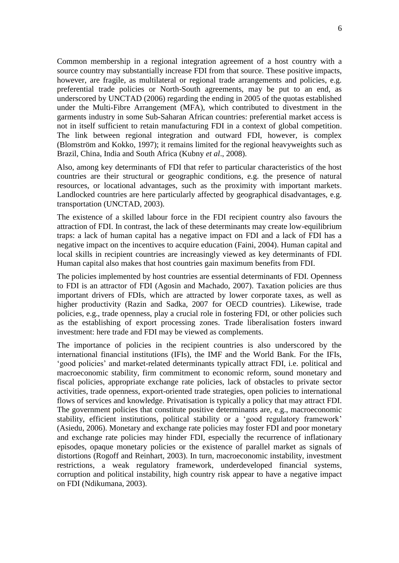Common membership in a regional integration agreement of a host country with a source country may substantially increase FDI from that source. These positive impacts, however, are fragile, as multilateral or regional trade arrangements and policies, e.g. preferential trade policies or North-South agreements, may be put to an end, as underscored by UNCTAD (2006) regarding the ending in 2005 of the quotas established under the Multi-Fibre Arrangement (MFA), which contributed to divestment in the garments industry in some Sub-Saharan African countries: preferential market access is not in itself sufficient to retain manufacturing FDI in a context of global competition. The link between regional integration and outward FDI, however, is complex (Blomström and Kokko, 1997); it remains limited for the regional heavyweights such as Brazil, China, India and South Africa (Kubny *et al*., 2008).

Also, among key determinants of FDI that refer to particular characteristics of the host countries are their structural or geographic conditions, e.g. the presence of natural resources, or locational advantages, such as the proximity with important markets. Landlocked countries are here particularly affected by geographical disadvantages, e.g. transportation (UNCTAD, 2003).

The existence of a skilled labour force in the FDI recipient country also favours the attraction of FDI. In contrast, the lack of these determinants may create low-equilibrium traps: a lack of human capital has a negative impact on FDI and a lack of FDI has a negative impact on the incentives to acquire education (Faini, 2004). Human capital and local skills in recipient countries are increasingly viewed as key determinants of FDI. Human capital also makes that host countries gain maximum benefits from FDI.

The policies implemented by host countries are essential determinants of FDI. Openness to FDI is an attractor of FDI (Agosin and Machado, 2007). Taxation policies are thus important drivers of FDIs, which are attracted by lower corporate taxes, as well as higher productivity (Razin and Sadka, 2007 for OECD countries). Likewise, trade policies, e.g., trade openness, play a crucial role in fostering FDI, or other policies such as the establishing of export processing zones. Trade liberalisation fosters inward investment: here trade and FDI may be viewed as complements.

The importance of policies in the recipient countries is also underscored by the international financial institutions (IFIs), the IMF and the World Bank. For the IFIs, 'good policies' and market-related determinants typically attract FDI, i.e. political and macroeconomic stability, firm commitment to economic reform, sound monetary and fiscal policies, appropriate exchange rate policies, lack of obstacles to private sector activities, trade openness, export-oriented trade strategies, open policies to international flows of services and knowledge. Privatisation is typically a policy that may attract FDI. The government policies that constitute positive determinants are, e.g., macroeconomic stability, efficient institutions, political stability or a 'good regulatory framework' (Asiedu, 2006). Monetary and exchange rate policies may foster FDI and poor monetary and exchange rate policies may hinder FDI, especially the recurrence of inflationary episodes, opaque monetary policies or the existence of parallel market as signals of distortions (Rogoff and Reinhart, 2003). In turn, macroeconomic instability, investment restrictions, a weak regulatory framework, underdeveloped financial systems, corruption and political instability, high country risk appear to have a negative impact on FDI (Ndikumana, 2003).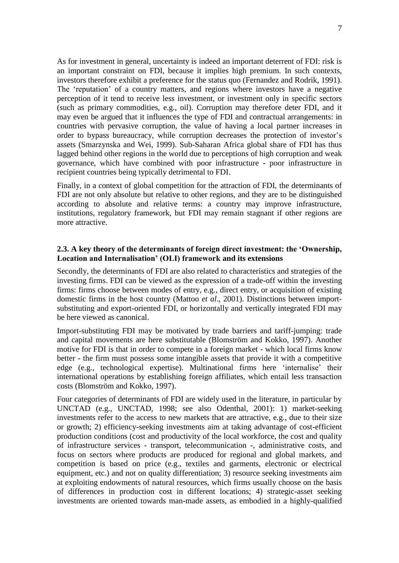As for investment in general, uncertainty is indeed an important deterrent of FDI: risk is an important constraint on FDI, because it implies high premium. In such contexts, investors therefore exhibit a preference for the status quo (Fernandez and Rodrik, 1991). The 'reputation' of a country matters, and regions where investors have a negative perception of it tend to receive less investment, or investment only in specific sectors (such as primary commodities, e.g., oil). Corruption may therefore deter FDI, and it may even be argued that it influences the type of FDI and contractual arrangements: in countries with pervasive corruption, the value of having a local partner increases in order to bypass bureaucracy, while corruption decreases the protection of investor's assets (Smarzynska and Wei, 1999). Sub-Saharan Africa global share of FDI has thus lagged behind other regions in the world due to perceptions of high corruption and weak governance, which have combined with poor infrastructure - poor infrastructure in recipient countries being typically detrimental to FDI.

Finally, in a context of global competition for the attraction of FDI, the determinants of FDI are not only absolute but relative to other regions, and they are to be distinguished according to absolute and relative terms: a country may improve infrastructure, institutions, regulatory framework, but FDI may remain stagnant if other regions are more attractive.

# <span id="page-7-0"></span>**2.3. A key theory of the determinants of foreign direct investment: the 'Ownership, Location and Internalisation' (OLI) framework and its extensions**

Secondly, the determinants of FDI are also related to characteristics and strategies of the investing firms. FDI can be viewed as the expression of a trade-off within the investing firms: firms choose between modes of entry, e.g., direct entry, or acquisition of existing domestic firms in the host country (Mattoo *et al*., 2001). Distinctions between importsubstituting and export-oriented FDI, or horizontally and vertically integrated FDI may be here viewed as canonical.

Import-substituting FDI may be motivated by trade barriers and tariff-jumping: trade and capital movements are here substitutable (Blomström and Kokko, 1997). Another motive for FDI is that in order to compete in a foreign market - which local firms know better - the firm must possess some intangible assets that provide it with a competitive edge (e.g., technological expertise). Multinational firms here 'internalise' their international operations by establishing foreign affiliates, which entail less transaction costs (Blomström and Kokko, 1997).

Four categories of determinants of FDI are widely used in the literature, in particular by UNCTAD (e.g., UNCTAD, 1998; see also Odenthal, 2001): 1) market-seeking investments refer to the access to new markets that are attractive, e.g., due to their size or growth; 2) efficiency-seeking investments aim at taking advantage of cost-efficient production conditions (cost and productivity of the local workforce, the cost and quality of infrastructure services - transport, telecommunication -, administrative costs, and focus on sectors where products are produced for regional and global markets, and competition is based on price (e.g., textiles and garments, electronic or electrical equipment, etc.) and not on quality differentiation; 3) resource seeking investments aim at exploiting endowments of natural resources, which firms usually choose on the basis of differences in production cost in different locations; 4) strategic-asset seeking investments are oriented towards man-made assets, as embodied in a highly-qualified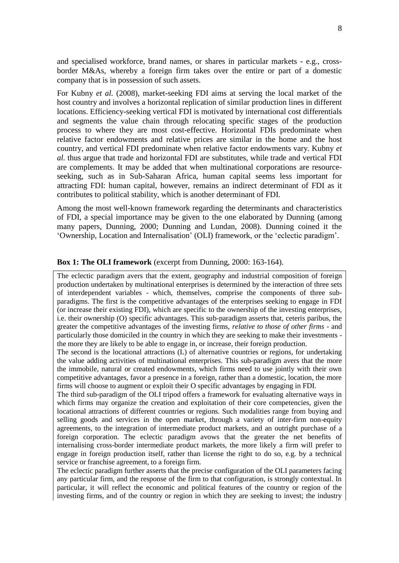and specialised workforce, brand names, or shares in particular markets - e.g., crossborder M&As, whereby a foreign firm takes over the entire or part of a domestic company that is in possession of such assets.

For Kubny *et al.* (2008), market-seeking FDI aims at serving the local market of the host country and involves a horizontal replication of similar production lines in different locations. Efficiency-seeking vertical FDI is motivated by international cost differentials and segments the value chain through relocating specific stages of the production process to where they are most cost-effective. Horizontal FDIs predominate when relative factor endowments and relative prices are similar in the home and the host country, and vertical FDI predominate when relative factor endowments vary. Kubny *et al.* thus argue that trade and horizontal FDI are substitutes, while trade and vertical FDI are complements. It may be added that when multinational corporations are resourceseeking, such as in Sub-Saharan Africa, human capital seems less important for attracting FDI: human capital, however, remains an indirect determinant of FDI as it contributes to political stability, which is another determinant of FDI.

Among the most well-known framework regarding the determinants and characteristics of FDI, a special importance may be given to the one elaborated by Dunning (among many papers, Dunning, 2000; Dunning and Lundan, 2008). Dunning coined it the 'Ownership, Location and Internalisation' (OLI) framework, or the 'eclectic paradigm'.

#### **Box 1: The OLI framework** (excerpt from Dunning, 2000: 163-164).

The eclectic paradigm avers that the extent, geography and industrial composition of foreign production undertaken by multinational enterprises is determined by the interaction of three sets of interdependent variables - which, themselves, comprise the components of three subparadigms. The first is the competitive advantages of the enterprises seeking to engage in FDI (or increase their existing FDI), which are specific to the ownership of the investing enterprises, i.e. their ownership (O) specific advantages. This sub-paradigm asserts that, ceteris paribus, the greater the competitive advantages of the investing firms, *relative to those of other firms* - and particularly those domiciled in the country in which they are seeking to make their investments the more they are likely to be able to engage in, or increase, their foreign production.

The second is the locational attractions (L) of alternative countries or regions, for undertaking the value adding activities of multinational enterprises. This sub-paradigm avers that the more the immobile, natural or created endowments, which firms need to use jointly with their own competitive advantages, favor a presence in a foreign, rather than a domestic, location, the more firms will choose to augment or exploit their O specific advantages by engaging in FDI.

The third sub-paradigm of the OLI tripod offers a framework for evaluating alternative ways in which firms may organize the creation and exploitation of their core competencies, given the locational attractions of different countries or regions. Such modalities range from buying and selling goods and services in the open market, through a variety of inter-firm non-equity agreements, to the integration of intermediate product markets, and an outright purchase of a foreign corporation. The eclectic paradigm avows that the greater the net benefits of internalising cross-border intermediate product markets, the more likely a firm will prefer to engage in foreign production itself, rather than license the right to do so, e.g. by a technical service or franchise agreement, to a foreign firm.

The eclectic paradigm further asserts that the precise configuration of the OLI parameters facing any particular firm, and the response of the firm to that configuration, is strongly contextual. In particular, it will reflect the economic and political features of the country or region of the investing firms, and of the country or region in which they are seeking to invest; the industry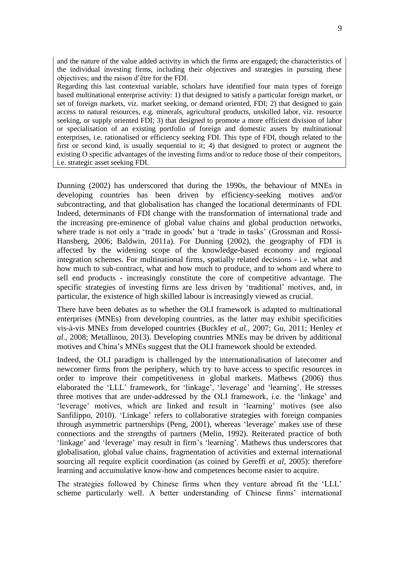and the nature of the value added activity in which the firms are engaged; the characteristics of the individual investing firms, including their objectives and strategies in pursuing these objectives; and the raison d'être for the FDI.

Regarding this last contextual variable, scholars have identified four main types of foreign based multinational enterprise activity: 1) that designed to satisfy a particular foreign market, or set of foreign markets, viz. market seeking, or demand oriented, FDI; 2) that designed to gain access to natural resources, e.g. minerals, agricultural products, unskilled labor, viz. resource seeking, or supply oriented FDI; 3) that designed to promote a more efficient division of labor or specialisation of an existing portfolio of foreign and domestic assets by multinational enterprises, i.e. rationalised or efficiency seeking FDI. This type of FDI, though related to the first or second kind, is usually sequential to it; 4) that designed to protect or augment the existing O specific advantages of the investing firms and/or to reduce those of their competitors, i.e. strategic asset seeking FDI.

Dunning (2002) has underscored that during the 1990s, the behaviour of MNEs in developing countries has been driven by efficiency-seeking motives and/or subcontracting, and that globalisation has changed the locational determinants of FDI. Indeed, determinants of FDI change with the transformation of international trade and the increasing pre-eminence of global value chains and global production networks, where trade is not only a 'trade in goods' but a 'trade in tasks' (Grossman and Rossi-Hansberg, 2006; Baldwin, 2011a). For Dunning (2002), the geography of FDI is affected by the widening scope of the knowledge-based economy and regional integration schemes. For multinational firms, spatially related decisions - i.e. what and how much to sub-contract, what and how much to produce, and to whom and where to sell end products - increasingly constitute the core of competitive advantage. The specific strategies of investing firms are less driven by 'traditional' motives, and, in particular, the existence of high skilled labour is increasingly viewed as crucial.

There have been debates as to whether the OLI framework is adapted to multinational enterprises (MNEs) from developing countries, as the latter may exhibit specificities vis-à-vis MNEs from developed countries (Buckley *et al.,* 2007; Gu, 2011; Henley *et al.,* 2008; Metallinou, 2013). Developing countries MNEs may be driven by additional motives and China's MNEs suggest that the OLI framework should be extended.

Indeed, the OLI paradigm is challenged by the internationalisation of latecomer and newcomer firms from the periphery, which try to have access to specific resources in order to improve their competitiveness in global markets. Mathews (2006) thus elaborated the 'LLL' framework, for 'linkage', 'leverage' and 'learning'. He stresses three motives that are under-addressed by the OLI framework, i.e. the 'linkage' and 'leverage' motives, which are linked and result in 'learning' motives (see also Sanfilippo, 2010). 'Linkage' refers to collaborative strategies with foreign companies through asymmetric partnerships (Peng, 2001), whereas 'leverage' makes use of these connections and the strengths of partners (Melin, 1992). Reiterated practice of both 'linkage' and 'leverage' may result in firm's 'learning'. Mathews thus underscores that globalisation, global value chains, fragmentation of activities and external international sourcing all require explicit coordination (as coined by Gereffi *et al*, 2005): therefore learning and accumulative know-how and competences become easier to acquire.

The strategies followed by Chinese firms when they venture abroad fit the 'LLL' scheme particularly well. A better understanding of Chinese firms' international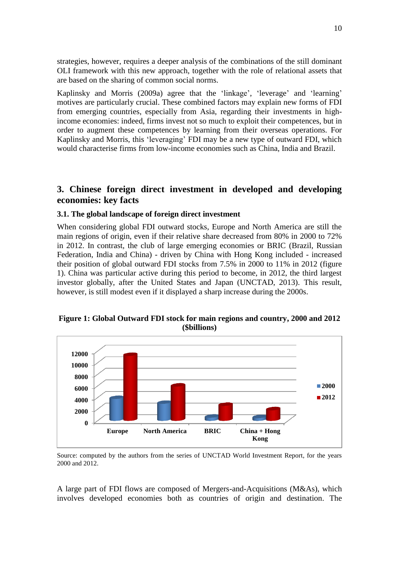strategies, however, requires a deeper analysis of the combinations of the still dominant OLI framework with this new approach, together with the role of relational assets that are based on the sharing of common social norms.

Kaplinsky and Morris (2009a) agree that the 'linkage', 'leverage' and 'learning' motives are particularly crucial. These combined factors may explain new forms of FDI from emerging countries, especially from Asia, regarding their investments in highincome economies: indeed, firms invest not so much to exploit their competences, but in order to augment these competences by learning from their overseas operations. For Kaplinsky and Morris, this 'leveraging' FDI may be a new type of outward FDI, which would characterise firms from low-income economies such as China, India and Brazil.

# <span id="page-10-0"></span>**3. Chinese foreign direct investment in developed and developing economies: key facts**

# <span id="page-10-1"></span>**3.1. The global landscape of foreign direct investment**

When considering global FDI outward stocks, Europe and North America are still the main regions of origin, even if their relative share decreased from 80% in 2000 to 72% in 2012. In contrast, the club of large emerging economies or BRIC (Brazil, Russian Federation, India and China) - driven by China with Hong Kong included - increased their position of global outward FDI stocks from 7.5% in 2000 to 11% in 2012 (figure 1). China was particular active during this period to become, in 2012, the third largest investor globally, after the United States and Japan (UNCTAD, 2013). This result, however, is still modest even if it displayed a sharp increase during the 2000s.

# **Figure 1: Global Outward FDI stock for main regions and country, 2000 and 2012 (\$billions)**



Source: computed by the authors from the series of UNCTAD World Investment Report, for the years 2000 and 2012.

A large part of FDI flows are composed of Mergers-and-Acquisitions (M&As), which involves developed economies both as countries of origin and destination. The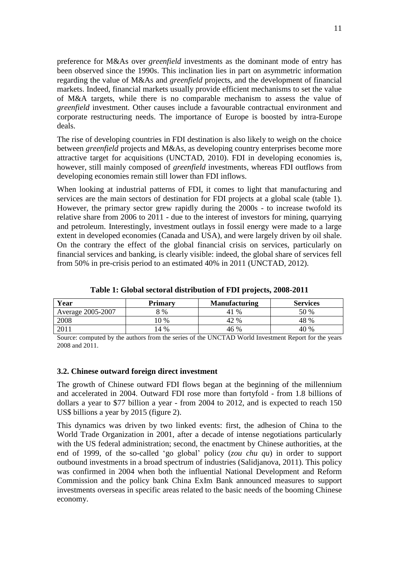preference for M&As over *greenfield* investments as the dominant mode of entry has been observed since the 1990s. This inclination lies in part on asymmetric information regarding the value of M&As and *greenfield* projects, and the development of financial markets. Indeed, financial markets usually provide efficient mechanisms to set the value of M&A targets, while there is no comparable mechanism to assess the value of *greenfield* investment. Other causes include a favourable contractual environment and corporate restructuring needs. The importance of Europe is boosted by intra-Europe deals.

The rise of developing countries in FDI destination is also likely to weigh on the choice between *greenfield* projects and M&As, as developing country enterprises become more attractive target for acquisitions (UNCTAD, 2010). FDI in developing economies is, however, still mainly composed of *greenfield* investments, whereas FDI outflows from developing economies remain still lower than FDI inflows.

When looking at industrial patterns of FDI, it comes to light that manufacturing and services are the main sectors of destination for FDI projects at a global scale (table 1). However, the primary sector grew rapidly during the 2000s - to increase twofold its relative share from 2006 to 2011 - due to the interest of investors for mining, quarrying and petroleum. Interestingly, investment outlays in fossil energy were made to a large extent in developed economies (Canada and USA), and were largely driven by oil shale. On the contrary the effect of the global financial crisis on services, particularly on financial services and banking, is clearly visible: indeed, the global share of services fell from 50% in pre-crisis period to an estimated 40% in 2011 (UNCTAD, 2012).

| Year              | Primarv | <b>Manufacturing</b> | <b>Services</b> |
|-------------------|---------|----------------------|-----------------|
| Average 2005-2007 | 8 %     | $\%$<br>41           | 50 %            |
| 2008              | 0%      | 42 %                 | 48 %            |
|                   | 14 %    | 46 %                 | 40 %            |

**Table 1: Global sectoral distribution of FDI projects, 2008-2011**

Source: computed by the authors from the series of the UNCTAD World Investment Report for the years 2008 and 2011.

#### <span id="page-11-0"></span>**3.2. Chinese outward foreign direct investment**

The growth of Chinese outward FDI flows began at the beginning of the millennium and accelerated in 2004. Outward FDI rose more than fortyfold - from 1.8 billions of dollars a year to \$77 billion a year - from 2004 to 2012, and is expected to reach 150 US\$ billions a year by 2015 (figure 2).

This dynamics was driven by two linked events: first, the adhesion of China to the World Trade Organization in 2001, after a decade of intense negotiations particularly with the US federal administration; second, the enactment by Chinese authorities, at the end of 1999, of the so-called 'go global' policy (*zou chu qu*) in order to support outbound investments in a broad spectrum of industries (Salidjanova, 2011). This policy was confirmed in 2004 when both the influential National Development and Reform Commission and the policy bank China ExIm Bank announced measures to support investments overseas in specific areas related to the basic needs of the booming Chinese economy.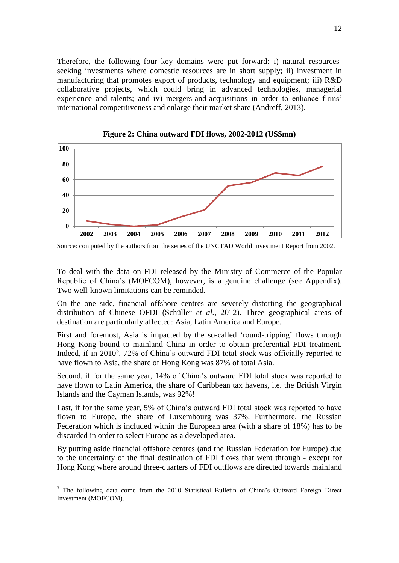Therefore, the following four key domains were put forward: i) natural resourcesseeking investments where domestic resources are in short supply; ii) investment in manufacturing that promotes export of products, technology and equipment; iii) R&D collaborative projects, which could bring in advanced technologies, managerial experience and talents; and iv) mergers-and-acquisitions in order to enhance firms' international competitiveness and enlarge their market share (Andreff, 2013).



**Figure 2: China outward FDI flows, 2002-2012 (US\$mn)**

To deal with the data on FDI released by the Ministry of Commerce of the Popular Republic of China's (MOFCOM), however, is a genuine challenge (see Appendix). Two well-known limitations can be reminded.

On the one side, financial offshore centres are severely distorting the geographical distribution of Chinese OFDI (Schüller *et al.*, 2012). Three geographical areas of destination are particularly affected: Asia, Latin America and Europe.

First and foremost, Asia is impacted by the so-called 'round-tripping' flows through Hong Kong bound to mainland China in order to obtain preferential FDI treatment. Indeed, if in 2010<sup>3</sup>, 72% of China's outward FDI total stock was officially reported to have flown to Asia, the share of Hong Kong was 87% of total Asia.

Second, if for the same year, 14% of China's outward FDI total stock was reported to have flown to Latin America, the share of Caribbean tax havens, i.e. the British Virgin Islands and the Cayman Islands, was 92%!

Last, if for the same year, 5% of China's outward FDI total stock was reported to have flown to Europe, the share of Luxembourg was 37%. Furthermore, the Russian Federation which is included within the European area (with a share of 18%) has to be discarded in order to select Europe as a developed area.

By putting aside financial offshore centres (and the Russian Federation for Europe) due to the uncertainty of the final destination of FDI flows that went through - except for Hong Kong where around three-quarters of FDI outflows are directed towards mainland

<u>.</u>

Source: computed by the authors from the series of the UNCTAD World Investment Report from 2002.

<sup>&</sup>lt;sup>3</sup> The following data come from the 2010 Statistical Bulletin of China's Outward Foreign Direct Investment (MOFCOM).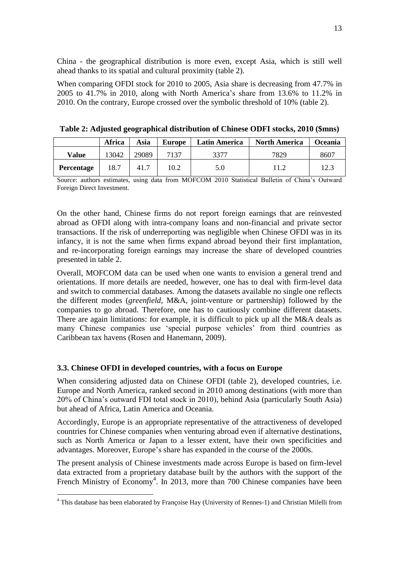China - the geographical distribution is more even, except Asia, which is still well ahead thanks to its spatial and cultural proximity (table 2).

When comparing OFDI stock for 2010 to 2005, Asia share is decreasing from 47.7% in 2005 to 41.7% in 2010, along with North America's share from 13.6% to 11.2% in 2010. On the contrary, Europe crossed over the symbolic threshold of 10% (table 2).

|            | Africa | Asia  | <b>Europe</b> | Latin America | <b>North America</b> | Oceania |
|------------|--------|-------|---------------|---------------|----------------------|---------|
| Value      | 13042  | 29089 | 7137          | 3377          | 7829                 | 860     |
| Percentage | 18.7   | 41.7  | 10.2          | 5.0           |                      | 12.1    |

**Table 2: Adjusted geographical distribution of Chinese ODFI stocks, 2010 (\$mns)**

Source: authors estimates, using data from MOFCOM 2010 Statistical Bulletin of China's Outward Foreign Direct Investment.

On the other hand, Chinese firms do not report foreign earnings that are reinvested abroad as OFDI along with intra-company loans and non-financial and private sector transactions. If the risk of underreporting was negligible when Chinese OFDI was in its infancy, it is not the same when firms expand abroad beyond their first implantation, and re-incorporating foreign earnings may increase the share of developed countries presented in table 2.

Overall, MOFCOM data can be used when one wants to envision a general trend and orientations. If more details are needed, however, one has to deal with firm-level data and switch to commercial databases. Among the datasets available no single one reflects the different modes (*greenfield*, M&A, joint-venture or partnership) followed by the companies to go abroad. Therefore, one has to cautiously combine different datasets. There are again limitations: for example, it is difficult to pick up all the M&A deals as many Chinese companies use 'special purpose vehicles' from third countries as Caribbean tax havens (Rosen and Hanemann, 2009).

# <span id="page-13-0"></span>**3.3. Chinese OFDI in developed countries, with a focus on Europe**

1

When considering adjusted data on Chinese OFDI (table 2), developed countries, i.e. Europe and North America, ranked second in 2010 among destinations (with more than 20% of China's outward FDI total stock in 2010), behind Asia (particularly South Asia) but ahead of Africa, Latin America and Oceania.

Accordingly, Europe is an appropriate representative of the attractiveness of developed countries for Chinese companies when venturing abroad even if alternative destinations, such as North America or Japan to a lesser extent, have their own specificities and advantages. Moreover, Europe's share has expanded in the course of the 2000s.

The present analysis of Chinese investments made across Europe is based on firm-level data extracted from a proprietary database built by the authors with the support of the French Ministry of Economy<sup>4</sup>. In 2013, more than 700 Chinese companies have been

 $4$  This database has been elaborated by Francoise Hay (University of Rennes-1) and Christian Milelli from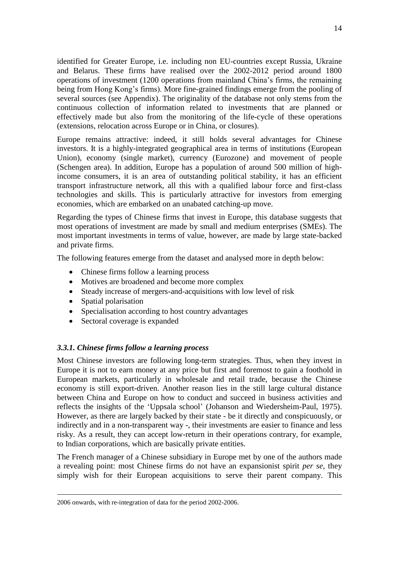identified for Greater Europe, i.e. including non EU-countries except Russia, Ukraine and Belarus. These firms have realised over the 2002-2012 period around 1800 operations of investment (1200 operations from mainland China's firms, the remaining being from Hong Kong's firms). More fine-grained findings emerge from the pooling of several sources (see Appendix). The originality of the database not only stems from the continuous collection of information related to investments that are planned or effectively made but also from the monitoring of the life-cycle of these operations (extensions, relocation across Europe or in China, or closures).

Europe remains attractive: indeed, it still holds several advantages for Chinese investors. It is a highly-integrated geographical area in terms of institutions (European Union), economy (single market), currency (Eurozone) and movement of people (Schengen area). In addition, Europe has a population of around 500 million of highincome consumers, it is an area of outstanding political stability, it has an efficient transport infrastructure network, all this with a qualified labour force and first-class technologies and skills. This is particularly attractive for investors from emerging economies, which are embarked on an unabated catching-up move.

Regarding the types of Chinese firms that invest in Europe, this database suggests that most operations of investment are made by small and medium enterprises (SMEs). The most important investments in terms of value, however, are made by large state-backed and private firms.

The following features emerge from the dataset and analysed more in depth below:

- Chinese firms follow a learning process
- Motives are broadened and become more complex
- Steady increase of mergers-and-acquisitions with low level of risk
- Spatial polarisation

1

- Specialisation according to host country advantages
- Sectoral coverage is expanded

# <span id="page-14-0"></span>*3.3.1. Chinese firms follow a learning process*

Most Chinese investors are following long-term strategies. Thus, when they invest in Europe it is not to earn money at any price but first and foremost to gain a foothold in European markets, particularly in wholesale and retail trade, because the Chinese economy is still export-driven. Another reason lies in the still large cultural distance between China and Europe on how to conduct and succeed in business activities and reflects the insights of the 'Uppsala school' (Johanson and Wiedersheim-Paul, 1975). However, as there are largely backed by their state - be it directly and conspicuously, or indirectly and in a non-transparent way -, their investments are easier to finance and less risky. As a result, they can accept low-return in their operations contrary, for example, to Indian corporations, which are basically private entities.

The French manager of a Chinese subsidiary in Europe met by one of the authors made a revealing point: most Chinese firms do not have an expansionist spirit *per se*, they simply wish for their European acquisitions to serve their parent company. This

<sup>2006</sup> onwards, with re-integration of data for the period 2002-2006.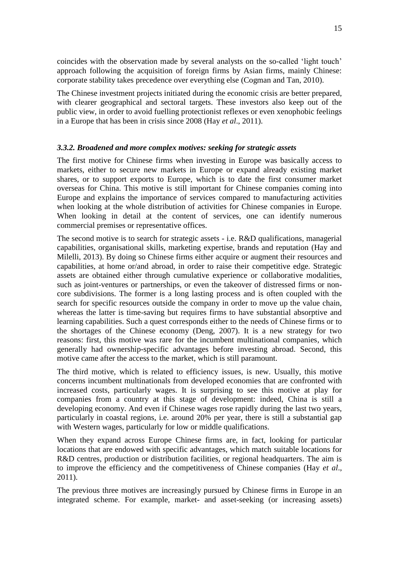15

coincides with the observation made by several analysts on the so-called 'light touch' approach following the acquisition of foreign firms by Asian firms, mainly Chinese: corporate stability takes precedence over everything else (Cogman and Tan, 2010).

The Chinese investment projects initiated during the economic crisis are better prepared, with clearer geographical and sectoral targets. These investors also keep out of the public view, in order to avoid fuelling protectionist reflexes or even xenophobic feelings in a Europe that has been in crisis since 2008 (Hay *et al*., 2011).

#### <span id="page-15-0"></span>*3.3.2. Broadened and more complex motives: seeking for strategic assets*

The first motive for Chinese firms when investing in Europe was basically access to markets, either to secure new markets in Europe or expand already existing market shares, or to support exports to Europe, which is to date the first consumer market overseas for China. This motive is still important for Chinese companies coming into Europe and explains the importance of services compared to manufacturing activities when looking at the whole distribution of activities for Chinese companies in Europe. When looking in detail at the content of services, one can identify numerous commercial premises or representative offices.

The second motive is to search for strategic assets - i.e. R&D qualifications, managerial capabilities, organisational skills, marketing expertise, brands and reputation (Hay and Milelli, 2013). By doing so Chinese firms either acquire or augment their resources and capabilities, at home or/and abroad, in order to raise their competitive edge. Strategic assets are obtained either through cumulative experience or collaborative modalities, such as joint-ventures or partnerships, or even the takeover of distressed firms or noncore subdivisions. The former is a long lasting process and is often coupled with the search for specific resources outside the company in order to move up the value chain, whereas the latter is time-saving but requires firms to have substantial absorptive and learning capabilities. Such a quest corresponds either to the needs of Chinese firms or to the shortages of the Chinese economy (Deng, 2007). It is a new strategy for two reasons: first, this motive was rare for the incumbent multinational companies, which generally had ownership-specific advantages before investing abroad. Second, this motive came after the access to the market, which is still paramount.

The third motive, which is related to efficiency issues, is new. Usually, this motive concerns incumbent multinationals from developed economies that are confronted with increased costs, particularly wages. It is surprising to see this motive at play for companies from a country at this stage of development: indeed, China is still a developing economy. And even if Chinese wages rose rapidly during the last two years, particularly in coastal regions, i.e. around 20% per year, there is still a substantial gap with Western wages, particularly for low or middle qualifications.

When they expand across Europe Chinese firms are, in fact, looking for particular locations that are endowed with specific advantages, which match suitable locations for R&D centres, production or distribution facilities, or regional headquarters. The aim is to improve the efficiency and the competitiveness of Chinese companies (Hay *et al*., 2011).

The previous three motives are increasingly pursued by Chinese firms in Europe in an integrated scheme. For example, market- and asset-seeking (or increasing assets)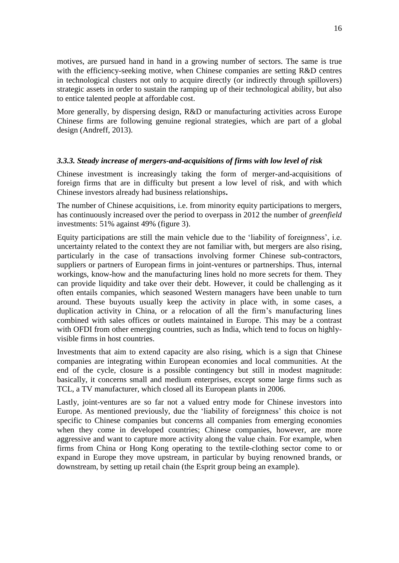motives, are pursued hand in hand in a growing number of sectors. The same is true with the efficiency-seeking motive, when Chinese companies are setting R&D centres in technological clusters not only to acquire directly (or indirectly through spillovers) strategic assets in order to sustain the ramping up of their technological ability, but also to entice talented people at affordable cost.

More generally, by dispersing design, R&D or manufacturing activities across Europe Chinese firms are following genuine regional strategies, which are part of a global design (Andreff, 2013).

# <span id="page-16-0"></span>*3.3.3. Steady increase of mergers-and-acquisitions of firms with low level of risk*

Chinese investment is increasingly taking the form of merger-and-acquisitions of foreign firms that are in difficulty but present a low level of risk, and with which Chinese investors already had business relationships**.**

The number of Chinese acquisitions, i.e. from minority equity participations to mergers, has continuously increased over the period to overpass in 2012 the number of *greenfield* investments: 51% against 49% (figure 3).

Equity participations are still the main vehicle due to the 'liability of foreignness', i.e. uncertainty related to the context they are not familiar with, but mergers are also rising, particularly in the case of transactions involving former Chinese sub-contractors, suppliers or partners of European firms in joint-ventures or partnerships. Thus, internal workings, know-how and the manufacturing lines hold no more secrets for them. They can provide liquidity and take over their debt. However, it could be challenging as it often entails companies, which seasoned Western managers have been unable to turn around. These buyouts usually keep the activity in place with, in some cases, a duplication activity in China, or a relocation of all the firm's manufacturing lines combined with sales offices or outlets maintained in Europe. This may be a contrast with OFDI from other emerging countries, such as India, which tend to focus on highlyvisible firms in host countries.

Investments that aim to extend capacity are also rising, which is a sign that Chinese companies are integrating within European economies and local communities. At the end of the cycle, closure is a possible contingency but still in modest magnitude: basically, it concerns small and medium enterprises, except some large firms such as TCL, a TV manufacturer, which closed all its European plants in 2006.

Lastly, joint-ventures are so far not a valued entry mode for Chinese investors into Europe. As mentioned previously, due the 'liability of foreignness' this choice is not specific to Chinese companies but concerns all companies from emerging economies when they come in developed countries; Chinese companies, however, are more aggressive and want to capture more activity along the value chain. For example, when firms from China or Hong Kong operating to the textile-clothing sector come to or expand in Europe they move upstream, in particular by buying renowned brands, or downstream, by setting up retail chain (the Esprit group being an example).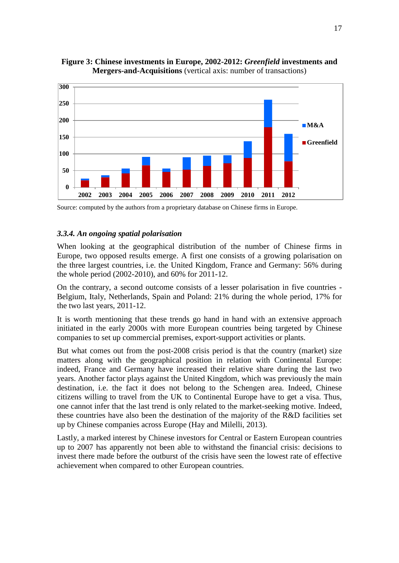

**Figure 3: Chinese investments in Europe, 2002-2012:** *Greenfield* **investments and Mergers-and-Acquisitions** (vertical axis: number of transactions)

Source: computed by the authors from a proprietary database on Chinese firms in Europe.

# <span id="page-17-0"></span>*3.3.4. An ongoing spatial polarisation*

When looking at the geographical distribution of the number of Chinese firms in Europe, two opposed results emerge. A first one consists of a growing polarisation on the three largest countries, i.e. the United Kingdom, France and Germany: 56% during the whole period (2002-2010), and 60% for 2011-12.

On the contrary, a second outcome consists of a lesser polarisation in five countries - Belgium, Italy, Netherlands, Spain and Poland: 21% during the whole period, 17% for the two last years, 2011-12.

It is worth mentioning that these trends go hand in hand with an extensive approach initiated in the early 2000s with more European countries being targeted by Chinese companies to set up commercial premises, export-support activities or plants.

But what comes out from the post-2008 crisis period is that the country (market) size matters along with the geographical position in relation with Continental Europe: indeed, France and Germany have increased their relative share during the last two years. Another factor plays against the United Kingdom, which was previously the main destination, i.e. the fact it does not belong to the Schengen area. Indeed, Chinese citizens willing to travel from the UK to Continental Europe have to get a visa. Thus, one cannot infer that the last trend is only related to the market-seeking motive. Indeed, these countries have also been the destination of the majority of the R&D facilities set up by Chinese companies across Europe (Hay and Milelli, 2013).

Lastly, a marked interest by Chinese investors for Central or Eastern European countries up to 2007 has apparently not been able to withstand the financial crisis: decisions to invest there made before the outburst of the crisis have seen the lowest rate of effective achievement when compared to other European countries.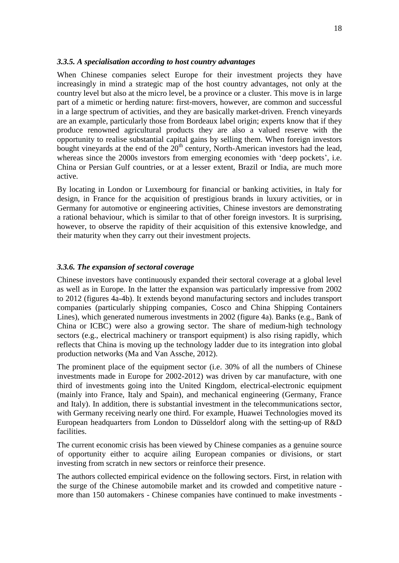#### <span id="page-18-0"></span>*3.3.5. A specialisation according to host country advantages*

When Chinese companies select Europe for their investment projects they have increasingly in mind a strategic map of the host country advantages, not only at the country level but also at the micro level, be a province or a cluster. This move is in large part of a mimetic or herding nature: first-movers, however, are common and successful in a large spectrum of activities, and they are basically market-driven. French vineyards are an example, particularly those from Bordeaux label origin; experts know that if they produce renowned agricultural products they are also a valued reserve with the opportunity to realise substantial capital gains by selling them. When foreign investors bought vineyards at the end of the  $20<sup>th</sup>$  century, North-American investors had the lead, whereas since the 2000s investors from emerging economies with 'deep pockets', i.e. China or Persian Gulf countries, or at a lesser extent, Brazil or India, are much more active.

By locating in London or Luxembourg for financial or banking activities, in Italy for design, in France for the acquisition of prestigious brands in luxury activities, or in Germany for automotive or engineering activities, Chinese investors are demonstrating a rational behaviour, which is similar to that of other foreign investors. It is surprising, however, to observe the rapidity of their acquisition of this extensive knowledge, and their maturity when they carry out their investment projects.

# <span id="page-18-1"></span>*3.3.6. The expansion of sectoral coverage*

Chinese investors have continuously expanded their sectoral coverage at a global level as well as in Europe. In the latter the expansion was particularly impressive from 2002 to 2012 (figures 4a-4b). It extends beyond manufacturing sectors and includes transport companies (particularly shipping companies, Cosco and China Shipping Containers Lines), which generated numerous investments in 2002 (figure 4a). Banks (e.g., Bank of China or ICBC) were also a growing sector. The share of medium-high technology sectors (e.g., electrical machinery or transport equipment) is also rising rapidly, which reflects that China is moving up the technology ladder due to its integration into global production networks (Ma and Van Assche, 2012).

The prominent place of the equipment sector (i.e. 30% of all the numbers of Chinese investments made in Europe for 2002-2012) was driven by car manufacture, with one third of investments going into the United Kingdom, electrical-electronic equipment (mainly into France, Italy and Spain), and mechanical engineering (Germany, France and Italy). In addition, there is substantial investment in the telecommunications sector, with Germany receiving nearly one third. For example, Huawei Technologies moved its European headquarters from London to Düsseldorf along with the setting-up of R&D facilities.

The current economic crisis has been viewed by Chinese companies as a genuine source of opportunity either to acquire ailing European companies or divisions, or start investing from scratch in new sectors or reinforce their presence.

The authors collected empirical evidence on the following sectors. First, in relation with the surge of the Chinese automobile market and its crowded and competitive nature more than 150 automakers - Chinese companies have continued to make investments -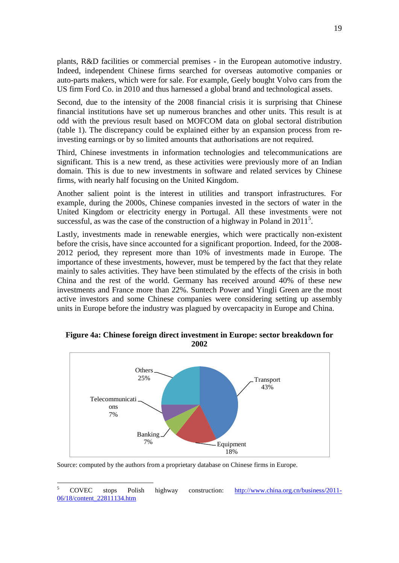plants, R&D facilities or commercial premises - in the European automotive industry. Indeed, independent Chinese firms searched for overseas automotive companies or auto-parts makers, which were for sale. For example, Geely bought Volvo cars from the US firm Ford Co. in 2010 and thus harnessed a global brand and technological assets.

Second, due to the intensity of the 2008 financial crisis it is surprising that Chinese financial institutions have set up numerous branches and other units. This result is at odd with the previous result based on MOFCOM data on global sectoral distribution (table 1). The discrepancy could be explained either by an expansion process from reinvesting earnings or by so limited amounts that authorisations are not required.

Third, Chinese investments in information technologies and telecommunications are significant. This is a new trend, as these activities were previously more of an Indian domain. This is due to new investments in software and related services by Chinese firms, with nearly half focusing on the United Kingdom.

Another salient point is the interest in utilities and transport infrastructures. For example, during the 2000s, Chinese companies invested in the sectors of water in the United Kingdom or electricity energy in Portugal. All these investments were not successful, as was the case of the construction of a highway in Poland in  $2011<sup>5</sup>$ .

Lastly, investments made in renewable energies, which were practically non-existent before the crisis, have since accounted for a significant proportion. Indeed, for the 2008- 2012 period, they represent more than 10% of investments made in Europe. The importance of these investments, however, must be tempered by the fact that they relate mainly to sales activities. They have been stimulated by the effects of the crisis in both China and the rest of the world. Germany has received around 40% of these new investments and France more than 22%. Suntech Power and Yingli Green are the most active investors and some Chinese companies were considering setting up assembly units in Europe before the industry was plagued by overcapacity in Europe and China.



**Figure 4a: Chinese foreign direct investment in Europe: sector breakdown for 2002**

Source: computed by the authors from a proprietary database on Chinese firms in Europe.

 $\overline{5}$ <sup>5</sup> COVEC stops Polish highway construction: [http://www.china.org.cn/business/2011-](http://www.china.org.cn/business/2011-06/18/content_22811134.htm) [06/18/content\\_22811134.htm](http://www.china.org.cn/business/2011-06/18/content_22811134.htm)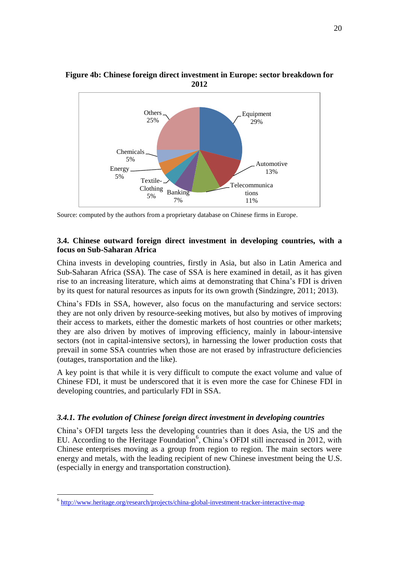

**Figure 4b: Chinese foreign direct investment in Europe: sector breakdown for 2012**

# <span id="page-20-0"></span>**3.4. Chinese outward foreign direct investment in developing countries, with a focus on Sub-Saharan Africa**

China invests in developing countries, firstly in Asia, but also in Latin America and Sub-Saharan Africa (SSA). The case of SSA is here examined in detail, as it has given rise to an increasing literature, which aims at demonstrating that China's FDI is driven by its quest for natural resources as inputs for its own growth (Sindzingre, 2011; 2013).

China's FDIs in SSA, however, also focus on the manufacturing and service sectors: they are not only driven by resource-seeking motives, but also by motives of improving their access to markets, either the domestic markets of host countries or other markets; they are also driven by motives of improving efficiency, mainly in labour-intensive sectors (not in capital-intensive sectors), in harnessing the lower production costs that prevail in some SSA countries when those are not erased by infrastructure deficiencies (outages, transportation and the like).

A key point is that while it is very difficult to compute the exact volume and value of Chinese FDI, it must be underscored that it is even more the case for Chinese FDI in developing countries, and particularly FDI in SSA.

#### <span id="page-20-1"></span>*3.4.1. The evolution of Chinese foreign direct investment in developing countries*

China's OFDI targets less the developing countries than it does Asia, the US and the EU. According to the Heritage Foundation<sup>6</sup>, China's OFDI still increased in 2012, with Chinese enterprises moving as a group from region to region. The main sectors were energy and metals, with the leading recipient of new Chinese investment being the U.S. (especially in energy and transportation construction).

1

Source: computed by the authors from a proprietary database on Chinese firms in Europe.

<sup>&</sup>lt;sup>6</sup> <http://www.heritage.org/research/projects/china-global-investment-tracker-interactive-map>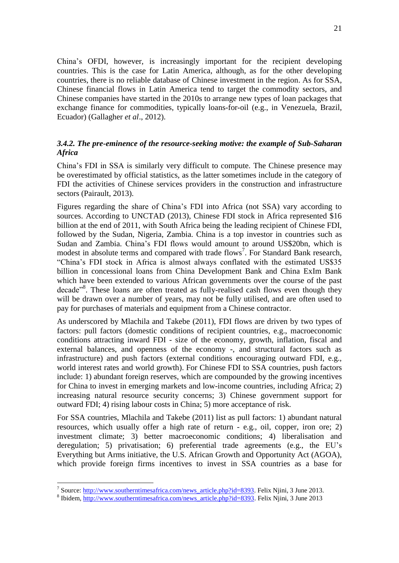China's OFDI, however, is increasingly important for the recipient developing countries. This is the case for Latin America, although, as for the other developing countries, there is no reliable database of Chinese investment in the region. As for SSA, Chinese financial flows in Latin America tend to target the commodity sectors, and Chinese companies have started in the 2010s to arrange new types of loan packages that exchange finance for commodities, typically loans-for-oil (e.g., in Venezuela, Brazil, Ecuador) (Gallagher *et al*., 2012).

# <span id="page-21-0"></span>*3.4.2. The pre-eminence of the resource-seeking motive: the example of Sub-Saharan Africa*

China's FDI in SSA is similarly very difficult to compute. The Chinese presence may be overestimated by official statistics, as the latter sometimes include in the category of FDI the activities of Chinese services providers in the construction and infrastructure sectors (Pairault, 2013).

Figures regarding the share of China's FDI into Africa (not SSA) vary according to sources. According to UNCTAD (2013), Chinese FDI stock in Africa represented \$16 billion at the end of 2011, with South Africa being the leading recipient of Chinese FDI, followed by the Sudan, Nigeria, Zambia. China is a top investor in countries such as Sudan and Zambia. China's FDI flows would amount to around US\$20bn, which is modest in absolute terms and compared with trade flows<sup>7</sup>. For Standard Bank research, "China's FDI stock in Africa is almost always conflated with the estimated US\$35 billion in concessional loans from China Development Bank and China ExIm Bank which have been extended to various African governments over the course of the past decade<sup>38</sup>. These loans are often treated as fully-realised cash flows even though they will be drawn over a number of years, may not be fully utilised, and are often used to pay for purchases of materials and equipment from a Chinese contractor.

As underscored by Mlachila and Takebe (2011), FDI flows are driven by two types of factors: pull factors (domestic conditions of recipient countries, e.g., macroeconomic conditions attracting inward FDI - size of the economy, growth, inflation, fiscal and external balances, and openness of the economy -, and structural factors such as infrastructure) and push factors (external conditions encouraging outward FDI, e.g., world interest rates and world growth). For Chinese FDI to SSA countries, push factors include: 1) abundant foreign reserves, which are compounded by the growing incentives for China to invest in emerging markets and low-income countries, including Africa; 2) increasing natural resource security concerns; 3) Chinese government support for outward FDI; 4) rising labour costs in China; 5) more acceptance of risk.

For SSA countries, Mlachila and Takebe (2011) list as pull factors: 1) abundant natural resources, which usually offer a high rate of return - e.g., oil, copper, iron ore; 2) investment climate; 3) better macroeconomic conditions; 4) liberalisation and deregulation; 5) privatisation; 6) preferential trade agreements (e.g., the EU's Everything but Arms initiative, the U.S. African Growth and Opportunity Act (AGOA), which provide foreign firms incentives to invest in SSA countries as a base for

<u>.</u>

<sup>&</sup>lt;sup>7</sup> Source: [http://www.southerntimesafrica.com/news\\_article.php?id=8393.](http://www.southerntimesafrica.com/news_article.php?id=8393) Felix Njini, 3 June 2013.

<sup>&</sup>lt;sup>8</sup> Ibidem, [http://www.southerntimesafrica.com/news\\_article.php?id=8393.](http://www.southerntimesafrica.com/news_article.php?id=8393) Felix Njini, 3 June 2013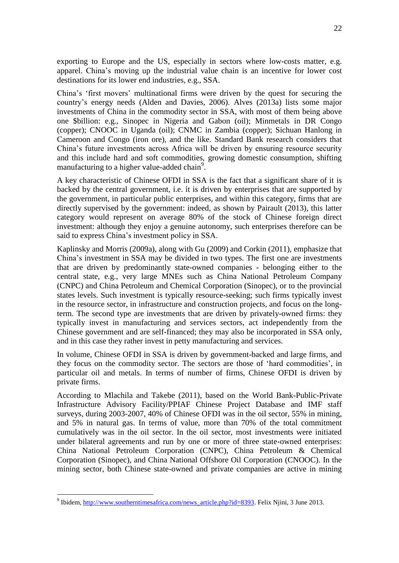exporting to Europe and the US, especially in sectors where low-costs matter, e.g. apparel. China's moving up the industrial value chain is an incentive for lower cost destinations for its lower end industries, e.g., SSA.

China's 'first movers' multinational firms were driven by the quest for securing the country's energy needs (Alden and Davies, 2006). Alves (2013a) lists some major investments of China in the commodity sector in SSA, with most of them being above one \$billion: e.g., Sinopec in Nigeria and Gabon (oil); Minmetals in DR Congo (copper); CNOOC in Uganda (oil); CNMC in Zambia (copper); Sichuan Hanlong in Cameroon and Congo (iron ore), and the like. Standard Bank research considers that China's future investments across Africa will be driven by ensuring resource security and this include hard and soft commodities, growing domestic consumption, shifting manufacturing to a higher value-added chain<sup>9</sup>.

A key characteristic of Chinese OFDI in SSA is the fact that a significant share of it is backed by the central government, i.e. it is driven by enterprises that are supported by the government, in particular public enterprises, and within this category, firms that are directly supervised by the government: indeed, as shown by Pairault (2013), this latter category would represent on average 80% of the stock of Chinese foreign direct investment: although they enjoy a genuine autonomy, such enterprises therefore can be said to express China's investment policy in SSA.

Kaplinsky and Morris (2009a), along with Gu (2009) and Corkin (2011), emphasize that China's investment in SSA may be divided in two types. The first one are investments that are driven by predominantly state-owned companies - belonging either to the central state, e.g., very large MNEs such as China National Petroleum Company (CNPC) and China Petroleum and Chemical Corporation (Sinopec), or to the provincial states levels. Such investment is typically resource-seeking; such firms typically invest in the resource sector, in infrastructure and construction projects, and focus on the longterm. The second type are investments that are driven by privately-owned firms: they typically invest in manufacturing and services sectors, act independently from the Chinese government and are self-financed; they may also be incorporated in SSA only, and in this case they rather invest in petty manufacturing and services.

In volume, Chinese OFDI in SSA is driven by government-backed and large firms, and they focus on the commodity sector. The sectors are those of 'hard commodities', in particular oil and metals. In terms of number of firms, Chinese OFDI is driven by private firms.

According to Mlachila and Takebe (2011), based on the World Bank-Public-Private Infrastructure Advisory Facility/PPIAF Chinese Project Database and IMF staff surveys, during 2003-2007, 40% of Chinese OFDI was in the oil sector, 55% in mining, and 5% in natural gas. In terms of value, more than 70% of the total commitment cumulatively was in the oil sector. In the oil sector, most investments were initiated under bilateral agreements and run by one or more of three state-owned enterprises: China National Petroleum Corporation (CNPC), China Petroleum & Chemical Corporation (Sinopec), and China National Offshore Oil Corporation (CNOOC). In the mining sector, both Chinese state-owned and private companies are active in mining

1

<sup>&</sup>lt;sup>9</sup> Ibidem, [http://www.southerntimesafrica.com/news\\_article.php?id=8393.](http://www.southerntimesafrica.com/news_article.php?id=8393) Felix Njini, 3 June 2013.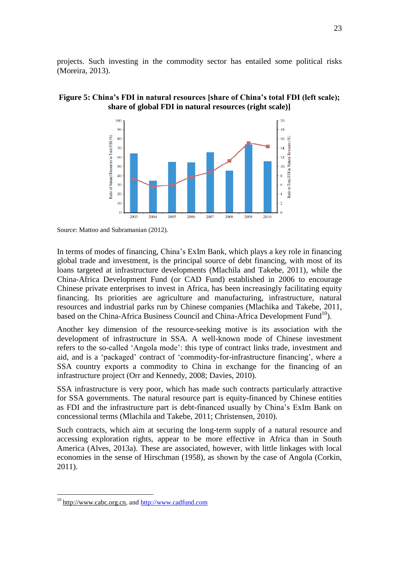projects. Such investing in the commodity sector has entailed some political risks (Moreira, 2013).

# **Figure 5: China's FDI in natural resources [share of China's total FDI (left scale); share of global FDI in natural resources (right scale)]**



Source: Mattoo and Subramanian (2012).

In terms of modes of financing, China's ExIm Bank, which plays a key role in financing global trade and investment, is the principal source of debt financing, with most of its loans targeted at infrastructure developments (Mlachila and Takebe, 2011), while the China-Africa Development Fund (or CAD Fund) established in 2006 to encourage Chinese private enterprises to invest in Africa, has been increasingly facilitating equity financing. Its priorities are agriculture and manufacturing, infrastructure, natural resources and industrial parks run by Chinese companies (Mlachika and Takebe, 2011, based on the China-Africa Business Council and China-Africa Development Fund<sup>10</sup>).

Another key dimension of the resource-seeking motive is its association with the development of infrastructure in SSA. A well-known mode of Chinese investment refers to the so-called 'Angola mode': this type of contract links trade, investment and aid, and is a 'packaged' contract of 'commodity-for-infrastructure financing', where a SSA country exports a commodity to China in exchange for the financing of an infrastructure project (Orr and Kennedy, 2008; Davies, 2010).

SSA infrastructure is very poor, which has made such contracts particularly attractive for SSA governments. The natural resource part is equity-financed by Chinese entities as FDI and the infrastructure part is debt-financed usually by China's ExIm Bank on concessional terms (Mlachila and Takebe, 2011; Christensen, 2010).

Such contracts, which aim at securing the long-term supply of a natural resource and accessing exploration rights, appear to be more effective in Africa than in South America (Alves, 2013a). These are associated, however, with little linkages with local economies in the sense of Hirschman (1958), as shown by the case of Angola (Corkin, 2011).

1

 $10$  [http://www.cabc.org.cn,](http://www.cabc.org.cn/) and [http://www.cadfund.com](http://www.cadfund.com/)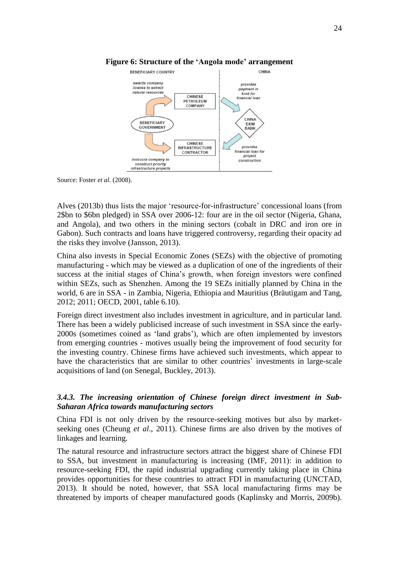

## **Figure 6: Structure of the 'Angola mode' arrangement**

Source: Foster *et al.* (2008).

Alves (2013b) thus lists the major 'resource-for-infrastructure' concessional loans (from 2\$bn to \$6bn pledged) in SSA over 2006-12: four are in the oil sector (Nigeria, Ghana, and Angola), and two others in the mining sectors (cobalt in DRC and iron ore in Gabon). Such contracts and loans have triggered controversy, regarding their opacity ad the risks they involve (Jansson, 2013).

China also invests in Special Economic Zones (SEZs) with the objective of promoting manufacturing - which may be viewed as a duplication of one of the ingredients of their success at the initial stages of China's growth, when foreign investors were confined within SEZs, such as Shenzhen. Among the 19 SEZs initially planned by China in the world, 6 are in SSA - in Zambia, Nigeria, Ethiopia and Mauritius (Bräutigam and Tang, 2012; 2011; OECD, 2001, table 6.10).

Foreign direct investment also includes investment in agriculture, and in particular land. There has been a widely publicised increase of such investment in SSA since the early-2000s (sometimes coined as 'land grabs'), which are often implemented by investors from emerging countries - motives usually being the improvement of food security for the investing country. Chinese firms have achieved such investments, which appear to have the characteristics that are similar to other countries' investments in large-scale acquisitions of land (on Senegal, Buckley, 2013).

# <span id="page-24-0"></span>*3.4.3. The increasing orientation of Chinese foreign direct investment in Sub-Saharan Africa towards manufacturing sectors*

China FDI is not only driven by the resource-seeking motives but also by marketseeking ones (Cheung *et al*., 2011). Chinese firms are also driven by the motives of linkages and learning.

The natural resource and infrastructure sectors attract the biggest share of Chinese FDI to SSA, but investment in manufacturing is increasing (IMF, 2011): in addition to resource-seeking FDI, the rapid industrial upgrading currently taking place in China provides opportunities for these countries to attract FDI in manufacturing (UNCTAD, 2013). It should be noted, however, that SSA local manufacturing firms may be threatened by imports of cheaper manufactured goods (Kaplinsky and Morris, 2009b).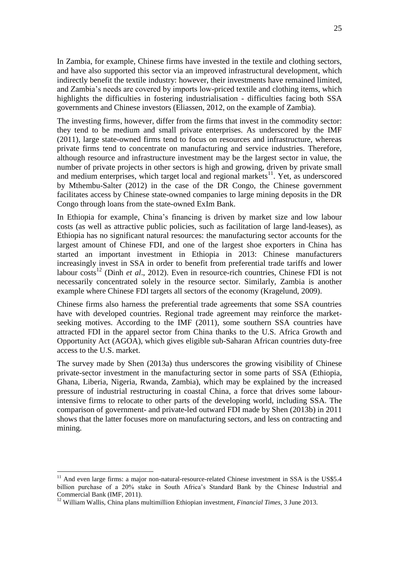In Zambia, for example, Chinese firms have invested in the textile and clothing sectors, and have also supported this sector via an improved infrastructural development, which indirectly benefit the textile industry: however, their investments have remained limited, and Zambia's needs are covered by imports low-priced textile and clothing items, which highlights the difficulties in fostering industrialisation - difficulties facing both SSA governments and Chinese investors (Eliassen, 2012, on the example of Zambia).

The investing firms, however, differ from the firms that invest in the commodity sector: they tend to be medium and small private enterprises. As underscored by the IMF (2011), large state-owned firms tend to focus on resources and infrastructure, whereas private firms tend to concentrate on manufacturing and service industries. Therefore, although resource and infrastructure investment may be the largest sector in value, the number of private projects in other sectors is high and growing, driven by private small and medium enterprises, which target local and regional markets<sup>11</sup>. Yet, as underscored by Mthembu-Salter (2012) in the case of the DR Congo, the Chinese government facilitates access by Chinese state-owned companies to large mining deposits in the DR Congo through loans from the state-owned ExIm Bank.

In Ethiopia for example, China's financing is driven by market size and low labour costs (as well as attractive public policies, such as facilitation of large land-leases), as Ethiopia has no significant natural resources: the manufacturing sector accounts for the largest amount of Chinese FDI, and one of the largest shoe exporters in China has started an important investment in Ethiopia in 2013: Chinese manufacturers increasingly invest in SSA in order to benefit from preferential trade tariffs and lower labour costs<sup>12</sup> (Dinh *et al.*, 2012). Even in resource-rich countries, Chinese FDI is not necessarily concentrated solely in the resource sector. Similarly, Zambia is another example where Chinese FDI targets all sectors of the economy (Kragelund, 2009).

Chinese firms also harness the preferential trade agreements that some SSA countries have with developed countries. Regional trade agreement may reinforce the marketseeking motives. According to the IMF (2011), some southern SSA countries have attracted FDI in the apparel sector from China thanks to the U.S. Africa Growth and Opportunity Act (AGOA), which gives eligible sub-Saharan African countries duty-free access to the U.S. market.

The survey made by Shen (2013a) thus underscores the growing visibility of Chinese private-sector investment in the manufacturing sector in some parts of SSA (Ethiopia, Ghana, Liberia, Nigeria, Rwanda, Zambia), which may be explained by the increased pressure of industrial restructuring in coastal China, a force that drives some labourintensive firms to relocate to other parts of the developing world, including SSA. The comparison of government- and private-led outward FDI made by Shen (2013b) in 2011 shows that the latter focuses more on manufacturing sectors, and less on contracting and mining.

1

 $11$  And even large firms: a major non-natural-resource-related Chinese investment in SSA is the US\$5.4 billion purchase of a 20% stake in South Africa's Standard Bank by the Chinese Industrial and Commercial Bank (IMF, 2011).

<sup>12</sup> William Wallis, China plans multimillion Ethiopian investment, *Financial Times*, 3 June 2013.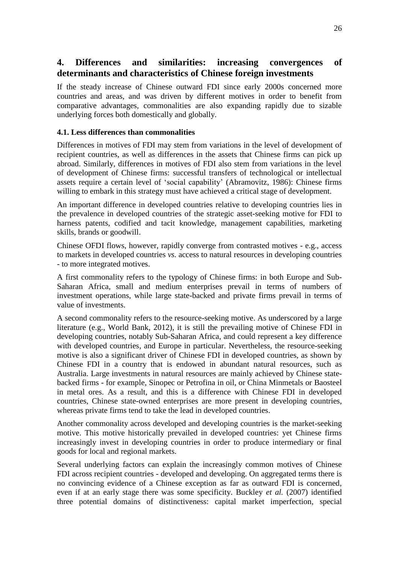# <span id="page-26-0"></span>**4. Differences and similarities: increasing convergences of determinants and characteristics of Chinese foreign investments**

If the steady increase of Chinese outward FDI since early 2000s concerned more countries and areas, and was driven by different motives in order to benefit from comparative advantages, commonalities are also expanding rapidly due to sizable underlying forces both domestically and globally.

# <span id="page-26-1"></span>**4.1. Less differences than commonalities**

Differences in motives of FDI may stem from variations in the level of development of recipient countries, as well as differences in the assets that Chinese firms can pick up abroad. Similarly, differences in motives of FDI also stem from variations in the level of development of Chinese firms: successful transfers of technological or intellectual assets require a certain level of 'social capability' (Abramovitz, 1986): Chinese firms willing to embark in this strategy must have achieved a critical stage of development.

An important difference in developed countries relative to developing countries lies in the prevalence in developed countries of the strategic asset-seeking motive for FDI to harness patents, codified and tacit knowledge, management capabilities, marketing skills, brands or goodwill.

Chinese OFDI flows, however, rapidly converge from contrasted motives - e.g., access to markets in developed countries *vs.* access to natural resources in developing countries - to more integrated motives.

A first commonality refers to the typology of Chinese firms: in both Europe and Sub-Saharan Africa, small and medium enterprises prevail in terms of numbers of investment operations, while large state-backed and private firms prevail in terms of value of investments.

A second commonality refers to the resource-seeking motive. As underscored by a large literature (e.g., World Bank, 2012), it is still the prevailing motive of Chinese FDI in developing countries, notably Sub-Saharan Africa, and could represent a key difference with developed countries, and Europe in particular. Nevertheless, the resource-seeking motive is also a significant driver of Chinese FDI in developed countries, as shown by Chinese FDI in a country that is endowed in abundant natural resources, such as Australia. Large investments in natural resources are mainly achieved by Chinese statebacked firms - for example, Sinopec or Petrofina in oil, or China Minmetals or Baosteel in metal ores. As a result, and this is a difference with Chinese FDI in developed countries, Chinese state-owned enterprises are more present in developing countries, whereas private firms tend to take the lead in developed countries.

Another commonality across developed and developing countries is the market-seeking motive. This motive historically prevailed in developed countries: yet Chinese firms increasingly invest in developing countries in order to produce intermediary or final goods for local and regional markets.

Several underlying factors can explain the increasingly common motives of Chinese FDI across recipient countries - developed and developing. On aggregated terms there is no convincing evidence of a Chinese exception as far as outward FDI is concerned, even if at an early stage there was some specificity. Buckley *et al.* (2007) identified three potential domains of distinctiveness: capital market imperfection, special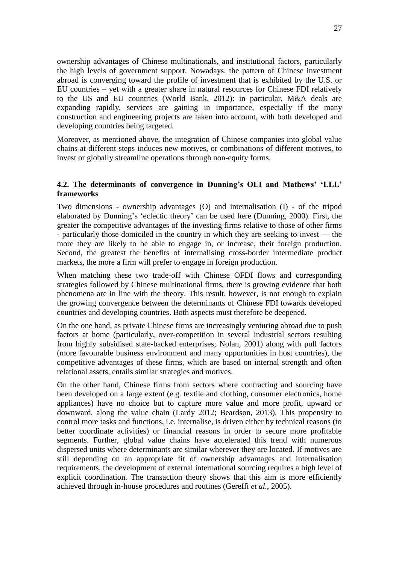ownership advantages of Chinese multinationals, and institutional factors, particularly the high levels of government support. Nowadays, the pattern of Chinese investment abroad is converging toward the profile of investment that is exhibited by the U.S. or EU countries – yet with a greater share in natural resources for Chinese FDI relatively to the US and EU countries (World Bank, 2012): in particular, M&A deals are expanding rapidly, services are gaining in importance, especially if the many construction and engineering projects are taken into account, with both developed and developing countries being targeted.

Moreover, as mentioned above, the integration of Chinese companies into global value chains at different steps induces new motives, or combinations of different motives, to invest or globally streamline operations through non-equity forms.

# <span id="page-27-0"></span>**4.2. The determinants of convergence in Dunning's OLI and Mathews' 'LLL' frameworks**

Two dimensions - ownership advantages (O) and internalisation (I) - of the tripod elaborated by Dunning's 'eclectic theory' can be used here (Dunning, 2000). First, the greater the competitive advantages of the investing firms relative to those of other firms - particularly those domiciled in the country in which they are seeking to invest — the more they are likely to be able to engage in, or increase, their foreign production. Second, the greatest the benefits of internalising cross-border intermediate product markets, the more a firm will prefer to engage in foreign production.

When matching these two trade-off with Chinese OFDI flows and corresponding strategies followed by Chinese multinational firms, there is growing evidence that both phenomena are in line with the theory. This result, however, is not enough to explain the growing convergence between the determinants of Chinese FDI towards developed countries and developing countries. Both aspects must therefore be deepened.

On the one hand, as private Chinese firms are increasingly venturing abroad due to push factors at home (particularly, over-competition in several industrial sectors resulting from highly subsidised state-backed enterprises; Nolan, 2001) along with pull factors (more favourable business environment and many opportunities in host countries), the competitive advantages of these firms, which are based on internal strength and often relational assets, entails similar strategies and motives.

On the other hand, Chinese firms from sectors where contracting and sourcing have been developed on a large extent (e.g. textile and clothing, consumer electronics, home appliances) have no choice but to capture more value and more profit, upward or downward, along the value chain (Lardy 2012; Beardson, 2013). This propensity to control more tasks and functions, i.e. internalise, is driven either by technical reasons (to better coordinate activities) or financial reasons in order to secure more profitable segments. Further, global value chains have accelerated this trend with numerous dispersed units where determinants are similar wherever they are located. If motives are still depending on an appropriate fit of ownership advantages and internalisation requirements, the development of external international sourcing requires a high level of explicit coordination. The transaction theory shows that this aim is more efficiently achieved through in-house procedures and routines (Gereffi *et al.*, 2005).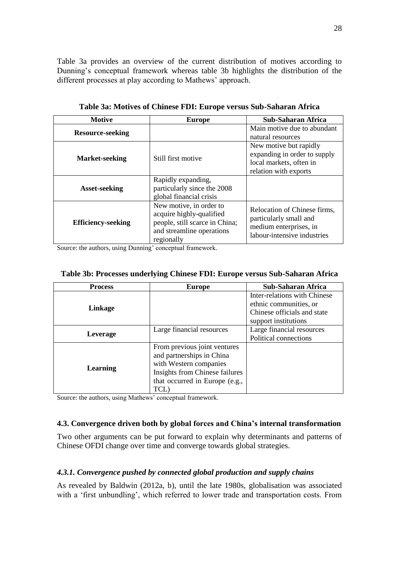Table 3a provides an overview of the current distribution of motives according to Dunning's conceptual framework whereas table 3b highlights the distribution of the different processes at play according to Mathews' approach.

| <b>Motive</b>             | <b>Europe</b>                                                                                                                    | Sub-Saharan Africa                                                                                              |  |
|---------------------------|----------------------------------------------------------------------------------------------------------------------------------|-----------------------------------------------------------------------------------------------------------------|--|
| <b>Resource-seeking</b>   |                                                                                                                                  | Main motive due to abundant<br>natural resources                                                                |  |
| <b>Market-seeking</b>     | Still first motive                                                                                                               | New motive but rapidly<br>expanding in order to supply<br>local markets, often in<br>relation with exports      |  |
| <b>Asset-seeking</b>      | Rapidly expanding,<br>particularly since the 2008<br>global financial crisis                                                     |                                                                                                                 |  |
| <b>Efficiency-seeking</b> | New motive, in order to<br>acquire highly-qualified<br>people, still scarce in China;<br>and streamline operations<br>regionally | Relocation of Chinese firms,<br>particularly small and<br>medium enterprises, in<br>labour-intensive industries |  |

**Table 3a: Motives of Chinese FDI: Europe versus Sub-Saharan Africa**

Source: the authors, using Dunning' conceptual framework.

|  |  | Table 3b: Processes underlying Chinese FDI: Europe versus Sub-Saharan Africa |  |
|--|--|------------------------------------------------------------------------------|--|
|  |  |                                                                              |  |

| <b>Process</b> | <b>Europe</b>                                                                                                                                                   | Sub-Saharan Africa                                                                    |
|----------------|-----------------------------------------------------------------------------------------------------------------------------------------------------------------|---------------------------------------------------------------------------------------|
| Linkage        |                                                                                                                                                                 | Inter-relations with Chinese<br>ethnic communities, or<br>Chinese officials and state |
|                |                                                                                                                                                                 | support institutions                                                                  |
| Leverage       | Large financial resources                                                                                                                                       | Large financial resources                                                             |
|                |                                                                                                                                                                 | Political connections                                                                 |
| Learning       | From previous joint ventures<br>and partnerships in China<br>with Western companies<br>Insights from Chinese failures<br>that occurred in Europe (e.g.,<br>TCL) |                                                                                       |

Source: the authors, using Mathews' conceptual framework.

# <span id="page-28-0"></span>**4.3. Convergence driven both by global forces and China's internal transformation**

Two other arguments can be put forward to explain why determinants and patterns of Chinese OFDI change over time and converge towards global strategies.

# <span id="page-28-1"></span>*4.3.1. Convergence pushed by connected global production and supply chains*

As revealed by Baldwin (2012a, b), until the late 1980s, globalisation was associated with a 'first unbundling', which referred to lower trade and transportation costs. From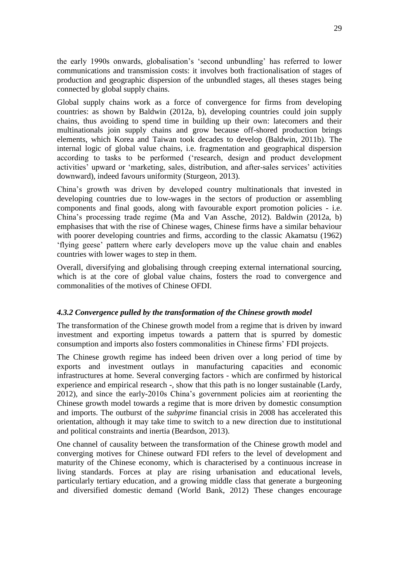the early 1990s onwards, globalisation's 'second unbundling' has referred to lower communications and transmission costs: it involves both fractionalisation of stages of production and geographic dispersion of the unbundled stages, all theses stages being connected by global supply chains.

Global supply chains work as a force of convergence for firms from developing countries: as shown by Baldwin (2012a, b), developing countries could join supply chains, thus avoiding to spend time in building up their own: latecomers and their multinationals join supply chains and grow because off-shored production brings elements, which Korea and Taiwan took decades to develop (Baldwin, 2011b). The internal logic of global value chains, i.e. fragmentation and geographical dispersion according to tasks to be performed ('research, design and product development activities' upward or 'marketing, sales, distribution, and after-sales services' activities downward), indeed favours uniformity (Sturgeon, 2013).

China's growth was driven by developed country multinationals that invested in developing countries due to low-wages in the sectors of production or assembling components and final goods, along with favourable export promotion policies - i.e. China's processing trade regime (Ma and Van Assche, 2012). Baldwin (2012a, b) emphasises that with the rise of Chinese wages, Chinese firms have a similar behaviour with poorer developing countries and firms, according to the classic Akamatsu (1962) 'flying geese' pattern where early developers move up the value chain and enables countries with lower wages to step in them.

Overall, diversifying and globalising through creeping external international sourcing, which is at the core of global value chains, fosters the road to convergence and commonalities of the motives of Chinese OFDI.

# <span id="page-29-0"></span>*4.3.2 Convergence pulled by the transformation of the Chinese growth model*

The transformation of the Chinese growth model from a regime that is driven by inward investment and exporting impetus towards a pattern that is spurred by domestic consumption and imports also fosters commonalities in Chinese firms' FDI projects.

The Chinese growth regime has indeed been driven over a long period of time by exports and investment outlays in manufacturing capacities and economic infrastructures at home. Several converging factors - which are confirmed by historical experience and empirical research -, show that this path is no longer sustainable (Lardy, 2012), and since the early-2010s China's government policies aim at reorienting the Chinese growth model towards a regime that is more driven by domestic consumption and imports. The outburst of the *subprime* financial crisis in 2008 has accelerated this orientation, although it may take time to switch to a new direction due to institutional and political constraints and inertia (Beardson, 2013).

One channel of causality between the transformation of the Chinese growth model and converging motives for Chinese outward FDI refers to the level of development and maturity of the Chinese economy, which is characterised by a continuous increase in living standards. Forces at play are rising urbanisation and educational levels, particularly tertiary education, and a growing middle class that generate a burgeoning and diversified domestic demand (World Bank, 2012) These changes encourage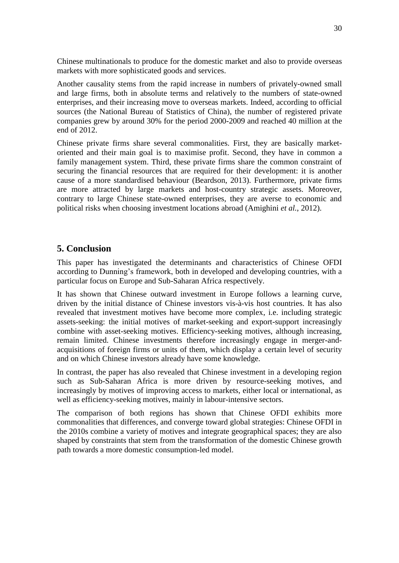Chinese multinationals to produce for the domestic market and also to provide overseas markets with more sophisticated goods and services.

Another causality stems from the rapid increase in numbers of privately-owned small and large firms, both in absolute terms and relatively to the numbers of state-owned enterprises, and their increasing move to overseas markets. Indeed*,* according to official sources (the National Bureau of Statistics of China), the number of registered private companies grew by around 30% for the period 2000-2009 and reached 40 million at the end of 2012.

Chinese private firms share several commonalities. First, they are basically marketoriented and their main goal is to maximise profit. Second, they have in common a family management system. Third, these private firms share the common constraint of securing the financial resources that are required for their development: it is another cause of a more standardised behaviour (Beardson, 2013). Furthermore, private firms are more attracted by large markets and host-country strategic assets. Moreover, contrary to large Chinese state-owned enterprises, they are averse to economic and political risks when choosing investment locations abroad (Amighini *et al.*, 2012).

# <span id="page-30-0"></span>**5. Conclusion**

This paper has investigated the determinants and characteristics of Chinese OFDI according to Dunning's framework, both in developed and developing countries, with a particular focus on Europe and Sub-Saharan Africa respectively.

It has shown that Chinese outward investment in Europe follows a learning curve, driven by the initial distance of Chinese investors vis-à-vis host countries. It has also revealed that investment motives have become more complex, i.e. including strategic assets-seeking: the initial motives of market-seeking and export-support increasingly combine with asset-seeking motives. Efficiency-seeking motives, although increasing, remain limited. Chinese investments therefore increasingly engage in merger-andacquisitions of foreign firms or units of them, which display a certain level of security and on which Chinese investors already have some knowledge.

In contrast, the paper has also revealed that Chinese investment in a developing region such as Sub-Saharan Africa is more driven by resource-seeking motives, and increasingly by motives of improving access to markets, either local or international, as well as efficiency-seeking motives, mainly in labour-intensive sectors.

The comparison of both regions has shown that Chinese OFDI exhibits more commonalities that differences, and converge toward global strategies: Chinese OFDI in the 2010s combine a variety of motives and integrate geographical spaces; they are also shaped by constraints that stem from the transformation of the domestic Chinese growth path towards a more domestic consumption-led model.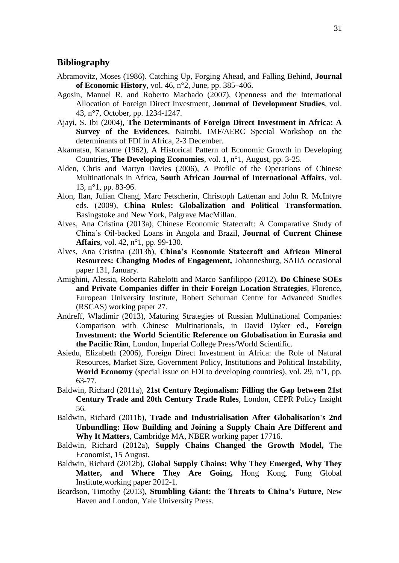# **Bibliography**

- Abramovitz, Moses (1986). Catching Up, Forging Ahead, and Falling Behind, **Journal of Economic History**, vol. 46, n°2, June, pp. 385–406.
- Agosin, Manuel R. and Roberto Machado (2007), Openness and the International Allocation of Foreign Direct Investment, **Journal of Development Studies**, vol. 43, n°7, October, pp. 1234-1247.
- Ajayi, S. Ibi (2004), **The Determinants of Foreign Direct Investment in Africa: A Survey of the Evidences**, Nairobi, IMF/AERC Special Workshop on the determinants of FDI in Africa, 2-3 December.
- Akamatsu, Kaname (1962), A Historical Pattern of Economic Growth in Developing Countries, **The Developing Economies**, vol. 1, n°1, August, pp. 3-25.
- Alden, Chris and Martyn Davies (2006), A Profile of the Operations of Chinese Multinationals in Africa, **South African Journal of International Affairs**, vol. 13, n°1, pp. 83-96.
- Alon, Ilan, Julian Chang, Marc Fetscherin, Christoph Lattenan and John R. McIntyre eds. (2009), **China Rules: Globalization and Political Transformation**, Basingstoke and New York, Palgrave MacMillan.
- Alves, Ana Cristina (2013a), Chinese Economic Statecraft: A Comparative Study of China's Oil-backed Loans in Angola and Brazil, **Journal of Current Chinese Affairs**, vol. 42, n°1, pp. 99-130.
- Alves, Ana Cristina (2013b), **China's Economic Statecraft and African Mineral Resources: Changing Modes of Engagement,** Johannesburg, SAIIA occasional paper 131, January.
- Amighini, Alessia, Roberta Rabelotti and Marco Sanfilippo (2012), **Do Chinese SOEs and Private Companies differ in their Foreign Location Strategies**, Florence, European University Institute, Robert Schuman Centre for Advanced Studies (RSCAS) working paper 27.
- Andreff, Wladimir (2013), Maturing Strategies of Russian Multinational Companies: Comparison with Chinese Multinationals, in David Dyker ed., **Foreign Investment: the World Scientific Reference on Globalisation in Eurasia and the Pacific Rim**, London, Imperial College Press/World Scientific.
- Asiedu, Elizabeth (2006), Foreign Direct Investment in Africa: the Role of Natural Resources, Market Size, Government Policy, Institutions and Political Instability, **World Economy** (special issue on FDI to developing countries), vol. 29, n°1, pp. 63-77.
- Baldwin, Richard (2011a), **21st Century Regionalism: Filling the Gap between 21st Century Trade and 20th Century Trade Rules**, London, CEPR Policy Insight 56.
- Baldwin, Richard (2011b), **Trade and Industrialisation After Globalisation's 2nd Unbundling: How Building and Joining a Supply Chain Are Different and Why It Matters**, Cambridge MA, NBER working paper 17716.
- Baldwin, Richard (2012a), **Supply Chains Changed the Growth Model,** The Economist, 15 August.
- Baldwin, Richard (2012b), **Global Supply Chains: Why They Emerged, Why They Matter, and Where They Are Going,** Hong Kong, Fung Global Institute,working paper 2012-1.
- Beardson, Timothy (2013), **Stumbling Giant: the Threats to China's Future**, New Haven and London, Yale University Press.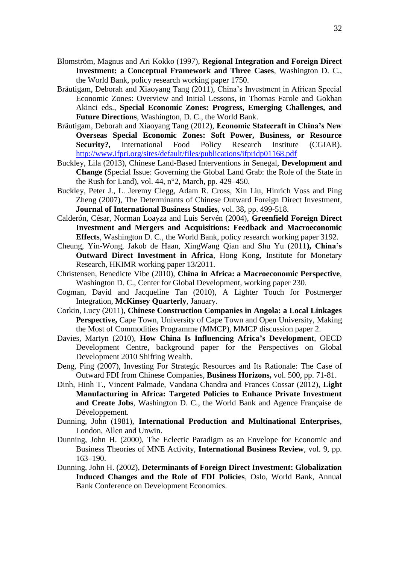- Blomström, Magnus and Ari Kokko (1997), **Regional Integration and Foreign Direct Investment: a Conceptual Framework and Three Cases**, Washington D. C., the World Bank, policy research working paper 1750.
- Bräutigam, Deborah and Xiaoyang Tang (2011), China's Investment in African Special Economic Zones: Overview and Initial Lessons, in Thomas Farole and Gokhan Akinci eds., **Special Economic Zones: Progress, Emerging Challenges, and Future Directions**, Washington, D. C., the World Bank.
- Bräutigam, Deborah and Xiaoyang Tang (2012), **Economic Statecraft in China's New Overseas Special Economic Zones: Soft Power, Business, or Resource Security?,** International Food Policy Research Institute (CGIAR). <http://www.ifpri.org/sites/default/files/publications/ifpridp01168.pdf>
- Buckley, Lila (2013), Chinese Land-Based Interventions in Senegal, **Development and Change (**Special Issue: Governing the Global Land Grab: the Role of the State in the Rush for Land), vol. 44,  $n^{\circ}2$ , March, pp. 429–450.
- Buckley, Peter J., L. Jeremy Clegg, Adam R. Cross, Xin Liu, Hinrich Voss and Ping Zheng (2007), The Determinants of Chinese Outward Foreign Direct Investment, **Journal of International Business Studies**, vol. 38, pp. 499-518.
- Calderón, César, Norman Loayza and Luis Servén (2004), **Greenfield Foreign Direct Investment and Mergers and Acquisitions: Feedback and Macroeconomic Effects**, Washington D. C., the World Bank, policy research working paper 3192.
- Cheung, Yin-Wong, Jakob de Haan, XingWang Qian and Shu Yu (2011**), China's Outward Direct Investment in Africa**, Hong Kong, Institute for Monetary Research, HKIMR working paper 13/2011.
- Christensen, Benedicte Vibe (2010), **China in Africa: a Macroeconomic Perspective**, Washington D. C., Center for Global Development, working paper 230.
- Cogman, David and Jacqueline Tan (2010), A Lighter Touch for Postmerger Integration, **McKinsey Quarterly**, January.
- Corkin, Lucy (2011), **Chinese Construction Companies in Angola: a Local Linkages Perspective, Cape Town, University of Cape Town and Open University, Making** the Most of Commodities Programme (MMCP), MMCP discussion paper 2.
- Davies, Martyn (2010), **How China Is Influencing Africa's Development**, OECD Development Centre, background paper for the Perspectives on Global Development 2010 Shifting Wealth.
- Deng, Ping (2007), Investing For Strategic Resources and Its Rationale: The Case of Outward FDI from Chinese Companies, **Business Horizons,** vol. 500, pp. 71-81.
- Dinh, Hinh T., Vincent Palmade, Vandana Chandra and Frances Cossar (2012), **Light Manufacturing in Africa: Targeted Policies to Enhance Private Investment and Create Jobs**, Washington D. C., the World Bank and Agence Française de Développement.
- Dunning, John (1981), **International Production and Multinational Enterprises**, London, Allen and Unwin.
- Dunning, John H. (2000), The Eclectic Paradigm as an Envelope for Economic and Business Theories of MNE Activity, **International Business Review**, vol. 9, pp. 163–190.
- Dunning, John H. (2002), **Determinants of Foreign Direct Investment: Globalization Induced Changes and the Role of FDI Policies**, Oslo, World Bank, Annual Bank Conference on Development Economics.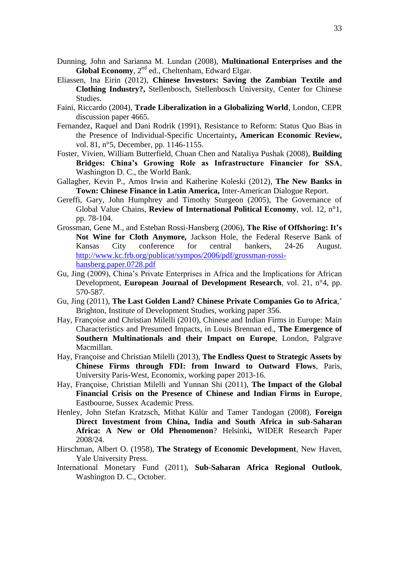- Dunning, John and Sarianna M. Lundan (2008), **Multinational Enterprises and the**  Global Economy, 2<sup>nd</sup> ed., Cheltenham, Edward Elgar.
- Eliassen, Ina Eirin (2012), **Chinese Investors: Saving the Zambian Textile and Clothing Industry?,** Stellenbosch, Stellenbosch University, Center for Chinese Studies.
- Faini, Riccardo (2004), **Trade Liberalization in a Globalizing World**, London, CEPR discussion paper 4665.
- Fernandez, Raquel and Dani Rodrik (1991), Resistance to Reform: Status Quo Bias in the Presence of Individual-Specific Uncertainty**, American Economic Review,** vol. 81, n°5, December, pp. 1146-1155.
- Foster, Vivien, William Butterfield, Chuan Chen and Nataliya Pushak (2008), **Building Bridges: China's Growing Role as Infrastructure Financier for SSA**, Washington D. C., the World Bank.
- Gallagher, Kevin P., Amos Irwin and Katherine Koleski (2012), **The New Banks in Town: Chinese Finance in Latin America,** Inter-American Dialogue Report.
- Gereffi, Gary, John Humphrey and Timothy Sturgeon (2005), The Governance of Global Value Chains, **Review of International Political Economy**, vol. 12, n°1, pp. 78-104.
- Grossman, Gene M., and Esteban Rossi-Hansberg (2006), **The Rise of Offshoring: It's Not Wine for Cloth Anymore,** Jackson Hole, the Federal Reserve Bank of Kansas City conference for central bankers, 24-26 August. [http://www.kc.frb.org/publicat/sympos/2006/pdf/grossman-rossi](http://www.kc.frb.org/publicat/sympos/2006/pdf/grossman-rossi-hansberg.paper.0728.pdf)[hansberg.paper.0728.pdf](http://www.kc.frb.org/publicat/sympos/2006/pdf/grossman-rossi-hansberg.paper.0728.pdf)
- Gu, Jing (2009), China's Private Enterprises in Africa and the Implications for African Development, **European Journal of Development Research**, vol. 21, n°4, pp. 570-587.
- Gu, Jing (2011), **The Last Golden Land? Chinese Private Companies Go to Africa**,' Brighton, Institute of Development Studies, working paper 356.
- Hay, Françoise and Christian Milelli (2010), Chinese and Indian Firms in Europe: Main Characteristics and Presumed Impacts, in Louis Brennan ed., **The Emergence of Southern Multinationals and their Impact on Europe**, London, Palgrave Macmillan.
- Hay, Françoise and Christian Milelli (2013), **The Endless Quest to Strategic Assets by Chinese Firms through FDI: from Inward to Outward Flows**, Paris, University Paris-West, Economix, working paper 2013-16.
- Hay, Françoise, Christian Milelli and Yunnan Shi (2011), **The Impact of the Global Financial Crisis on the Presence of Chinese and Indian Firms in Europe**, Eastbourne, Sussex Academic Press.
- Henley, John Stefan Kratzsch, Mithat Külür and Tamer Tandogan (2008), **Foreign Direct Investment from China, India and South Africa in sub-Saharan Africa: A New or Old Phenomenon**? Helsinki**,** WIDER Research Paper 2008/24.
- Hirschman, Albert O. (1958), **The Strategy of Economic Development**, New Haven, Yale University Press.
- International Monetary Fund (2011), **Sub-Saharan Africa Regional Outlook**, Washington D. C., October.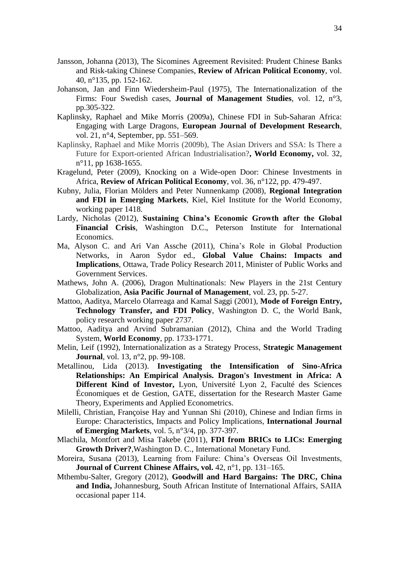- Jansson, Johanna (2013), The Sicomines Agreement Revisited: Prudent Chinese Banks and Risk-taking Chinese Companies, **Review of African Political Economy**, vol. 40, n°135, pp. 152-162.
- Johanson, Jan and Finn Wiedersheim-Paul (1975), The Internationalization of the Firms: Four Swedish cases, **Journal of Management Studies**, vol. 12, n°3, pp.305-322.
- Kaplinsky, Raphael and Mike Morris (2009a), Chinese FDI in Sub-Saharan Africa: Engaging with Large Dragons*,* **European Journal of Development Research**, vol. 21, n°4, September, pp. 551–569.
- Kaplinsky, Raphael and Mike Morris (2009b), The Asian Drivers and SSA: Is There a Future for Export-oriented African Industrialisation?**, World Economy,** vol. 32, n°11, pp 1638-1655.
- Kragelund, Peter (2009), Knocking on a Wide-open Door: Chinese Investments in Africa, **Review of African Political Economy**, vol. 36, n°122, pp. 479-497.
- Kubny, Julia, Florian Mölders and Peter Nunnenkamp (2008), **Regional Integration and FDI in Emerging Markets**, Kiel, Kiel Institute for the World Economy, working paper 1418.
- Lardy, Nicholas (2012), **Sustaining China's Economic Growth after the Global Financial Crisis**, Washington D.C., Peterson Institute for International Economics.
- Ma, Alyson C. and Ari Van Assche (2011), China's Role in Global Production Networks, in Aaron Sydor ed., **Global Value Chains: Impacts and Implications**, Ottawa, Trade Policy Research 2011, Minister of Public Works and Government Services.
- Mathews, John A. (2006), Dragon Multinationals: New Players in the 21st Century Globalization, **Asia Pacific Journal of Management**, vol. 23, pp. 5-27.
- Mattoo, Aaditya, Marcelo Olarreaga and Kamal Saggi (2001), **Mode of Foreign Entry, Technology Transfer, and FDI Policy**, Washington D. C, the World Bank, policy research working paper 2737.
- Mattoo, Aaditya and Arvind Subramanian (2012), China and the World Trading System, **World Economy**, pp. 1733-1771.
- Melin, Leif (1992), Internationalization as a Strategy Process, **Strategic Management Journal**, vol. 13, n°2, pp. 99-108.
- Metallinou, Lida (2013). **Investigating the Intensification of Sino-Africa Relationships: An Empirical Analysis. Dragon's Investment in Africa: A Different Kind of Investor,** Lyon, Université Lyon 2, Faculté des Sciences Économiques et de Gestion, GATE, dissertation for the Research Master Game Theory, Experiments and Applied Econometrics.
- Milelli, Christian, Françoise Hay and Yunnan Shi (2010), Chinese and Indian firms in Europe: Characteristics, Impacts and Policy Implications, **International Journal of Emerging Markets**, vol. 5, n°3/4, pp. 377-397.
- Mlachila, Montfort and Misa Takebe (2011), **FDI from BRICs to LICs: Emerging Growth Driver?**,Washington D. C., International Monetary Fund.
- Moreira, Susana (2013), Learning from Failure: China's Overseas Oil Investments, **Journal of Current Chinese Affairs, vol.** 42, n°1, pp. 131–165.
- Mthembu-Salter, Gregory (2012), **Goodwill and Hard Bargains: The DRC, China and India,** Johannesburg, South African Institute of International Affairs, SAIIA occasional paper 114.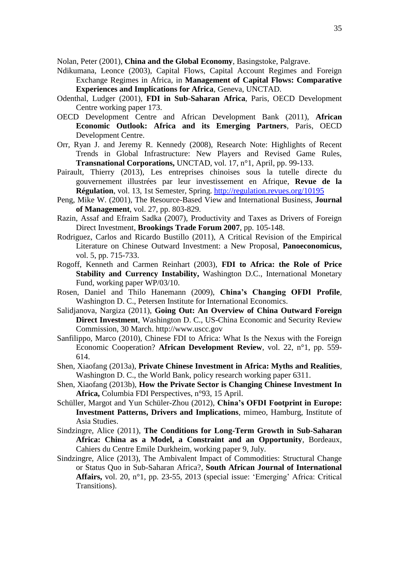Nolan, Peter (2001), **China and the Global Economy**, Basingstoke, Palgrave.

- Ndikumana, Leonce (2003), Capital Flows, Capital Account Regimes and Foreign Exchange Regimes in Africa, in **Management of Capital Flows: Comparative Experiences and Implications for Africa**, Geneva, UNCTAD.
- Odenthal, Ludger (2001), **FDI in Sub-Saharan Africa**, Paris, OECD Development Centre working paper 173.
- OECD Development Centre and African Development Bank (2011), **African Economic Outlook: Africa and its Emerging Partners**, Paris, OECD Development Centre.
- Orr, Ryan J. and Jeremy R. Kennedy (2008), Research Note: Highlights of Recent Trends in Global Infrastructure: New Players and Revised Game Rules, **Transnational Corporations,** UNCTAD, vol. 17, n°1, April, pp. 99-133.
- Pairault, Thierry (2013), Les entreprises chinoises sous la tutelle directe du gouvernement illustrées par leur investissement en Afrique, **Revue de la Régulation**, vol. 13, 1st Semester, Spring. <http://regulation.revues.org/10195>
- Peng, Mike W. (2001), The Resource-Based View and International Business, **Journal of Management**, vol. 27, pp. 803-829.
- Razin, Assaf and Efraim Sadka (2007), Productivity and Taxes as Drivers of Foreign Direct Investment, **Brookings Trade Forum 2007**, pp. 105-148.
- Rodriguez, Carlos and Ricardo Bustillo (2011), A Critical Revision of the Empirical Literature on Chinese Outward Investment: a New Proposal, **Panoeconomicus,**  vol. 5, pp. 715-733.
- Rogoff, Kenneth and Carmen Reinhart (2003), **FDI to Africa: the Role of Price Stability and Currency Instability,** Washington D.C., International Monetary Fund, working paper WP/03/10.
- Rosen, Daniel and Thilo Hanemann (2009), **China's Changing OFDI Profile**, Washington D. C., Petersen Institute for International Economics.
- Salidjanova, Nargiza (2011), **Going Out: An Overview of China Outward Foreign Direct Investment**, Washington D. C., US-China Economic and Security Review Commission, 30 March. http://www.uscc.gov
- Sanfilippo, Marco (2010), Chinese FDI to Africa: What Is the Nexus with the Foreign Economic Cooperation? **African Development Review**, vol. 22, n°1, pp. 559- 614.
- Shen, Xiaofang (2013a), **Private Chinese Investment in Africa: Myths and Realities**, Washington D. C., the World Bank, policy research working paper 6311.
- Shen, Xiaofang (2013b), **How the Private Sector is Changing Chinese Investment In Africa,** Columbia FDI Perspectives, n°93, 15 April.
- Schüller, Margot and Yun Schüler-Zhou (2012), **China's OFDI Footprint in Europe: Investment Patterns, Drivers and Implications**, mimeo, Hamburg, Institute of Asia Studies.
- Sindzingre, Alice (2011), **The Conditions for Long-Term Growth in Sub-Saharan Africa: China as a Model, a Constraint and an Opportunity**, Bordeaux, Cahiers du Centre Emile Durkheim, working paper 9, July.
- Sindzingre, Alice (2013), The Ambivalent Impact of Commodities: Structural Change or Status Quo in Sub-Saharan Africa?, **South African Journal of International Affairs,** vol. 20, n°1, pp. 23-55, 2013 (special issue: 'Emerging' Africa: Critical Transitions).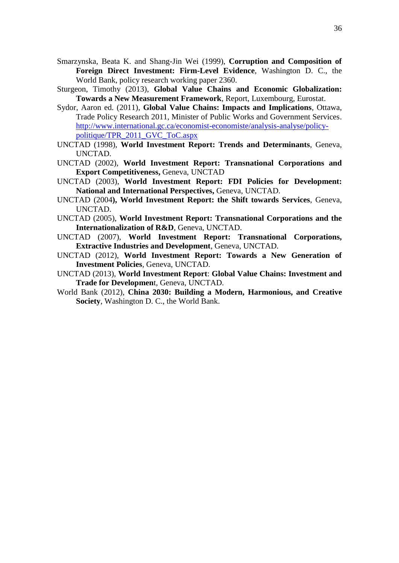- Smarzynska, Beata K. and Shang-Jin Wei (1999), **Corruption and Composition of Foreign Direct Investment: Firm-Level Evidence**, Washington D. C., the World Bank, policy research working paper 2360.
- Sturgeon, Timothy (2013), **Global Value Chains and Economic Globalization: Towards a New Measurement Framework**, Report, Luxembourg, Eurostat.
- Sydor, Aaron ed. (2011), **Global Value Chains: Impacts and Implications**, Ottawa, Trade Policy Research 2011, Minister of Public Works and Government Services. [http://www.international.gc.ca/economist-economiste/analysis-analyse/policy](http://www.international.gc.ca/economist-economiste/analysis-analyse/policy-politique/TPR_2011_GVC_ToC.aspx)[politique/TPR\\_2011\\_GVC\\_ToC.aspx](http://www.international.gc.ca/economist-economiste/analysis-analyse/policy-politique/TPR_2011_GVC_ToC.aspx)
- UNCTAD (1998), **World Investment Report: Trends and Determinants**, Geneva, UNCTAD.
- UNCTAD (2002), **World Investment Report: Transnational Corporations and Export Competitiveness,** Geneva, UNCTAD
- UNCTAD (2003), **World Investment Report: FDI Policies for Development: National and International Perspectives,** Geneva, UNCTAD.
- UNCTAD (2004**), World Investment Report: the Shift towards Services**, Geneva, UNCTAD.
- UNCTAD (2005), **World Investment Report: Transnational Corporations and the Internationalization of R&D**, Geneva, UNCTAD.
- UNCTAD (2007), **World Investment Report: Transnational Corporations, Extractive Industries and Development**, Geneva, UNCTAD.
- UNCTAD (2012), **World Investment Report: Towards a New Generation of Investment Policies**, Geneva, UNCTAD.
- UNCTAD (2013), **World Investment Report**: **Global Value Chains: Investment and Trade for Developmen**t, Geneva, UNCTAD.
- World Bank (2012), **China 2030: Building a Modern, Harmonious, and Creative Society**, Washington D. C., the World Bank.